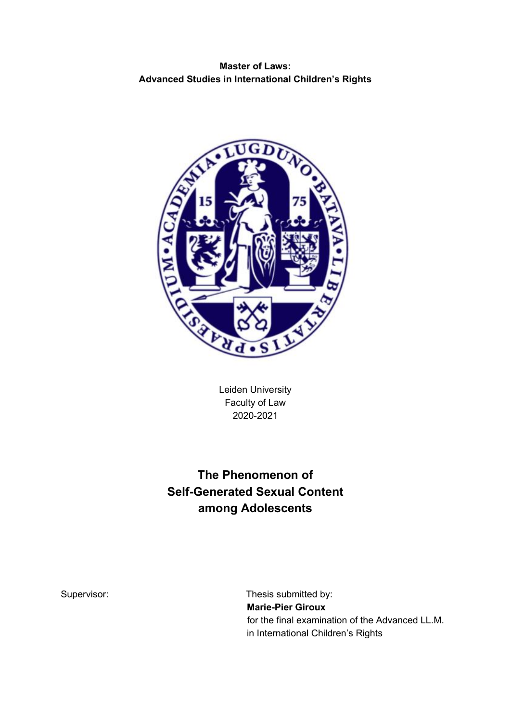# **Master of Laws: Advanced Studies in International Children's Rights**



Leiden University Faculty of Law 2020-2021

# **The Phenomenon of Self-Generated Sexual Content among Adolescents**

Supervisor: Supervisor: Supervisor: Thesis submitted by: **Marie-Pier Giroux**  for the final examination of the Advanced LL.M. in International Children's Rights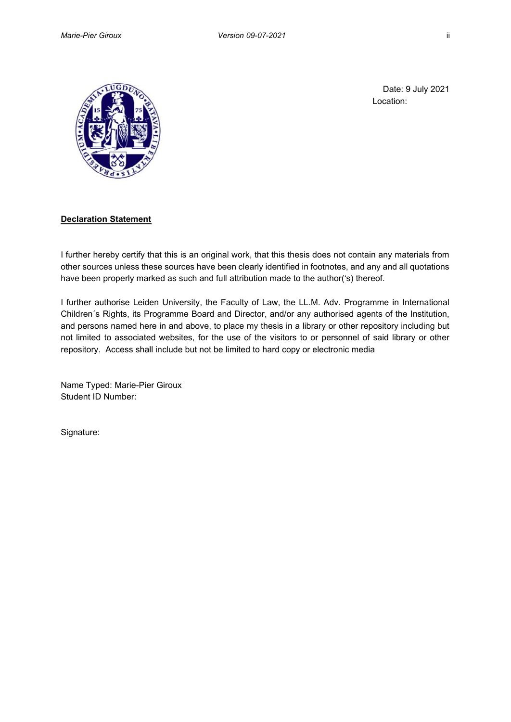

Date: 9 July 2021 Location:

#### **Declaration Statement**

I further hereby certify that this is an original work, that this thesis does not contain any materials from other sources unless these sources have been clearly identified in footnotes, and any and all quotations have been properly marked as such and full attribution made to the author('s) thereof.

I further authorise Leiden University, the Faculty of Law, the LL.M. Adv. Programme in International Children´s Rights, its Programme Board and Director, and/or any authorised agents of the Institution, and persons named here in and above, to place my thesis in a library or other repository including but not limited to associated websites, for the use of the visitors to or personnel of said library or other repository. Access shall include but not be limited to hard copy or electronic media

Name Typed: Marie-Pier Giroux Student ID Number:

Signature: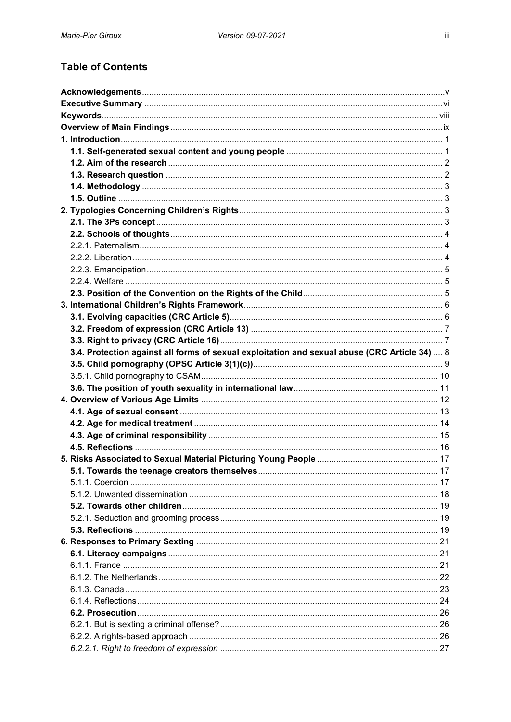# **Table of Contents**

| 3.4. Protection against all forms of sexual exploitation and sexual abuse (CRC Article 34)  8 |  |
|-----------------------------------------------------------------------------------------------|--|
|                                                                                               |  |
|                                                                                               |  |
|                                                                                               |  |
|                                                                                               |  |
|                                                                                               |  |
|                                                                                               |  |
|                                                                                               |  |
|                                                                                               |  |
|                                                                                               |  |
|                                                                                               |  |
|                                                                                               |  |
|                                                                                               |  |
|                                                                                               |  |
|                                                                                               |  |
|                                                                                               |  |
|                                                                                               |  |
|                                                                                               |  |
|                                                                                               |  |
|                                                                                               |  |
|                                                                                               |  |
|                                                                                               |  |
|                                                                                               |  |
|                                                                                               |  |
|                                                                                               |  |
|                                                                                               |  |
|                                                                                               |  |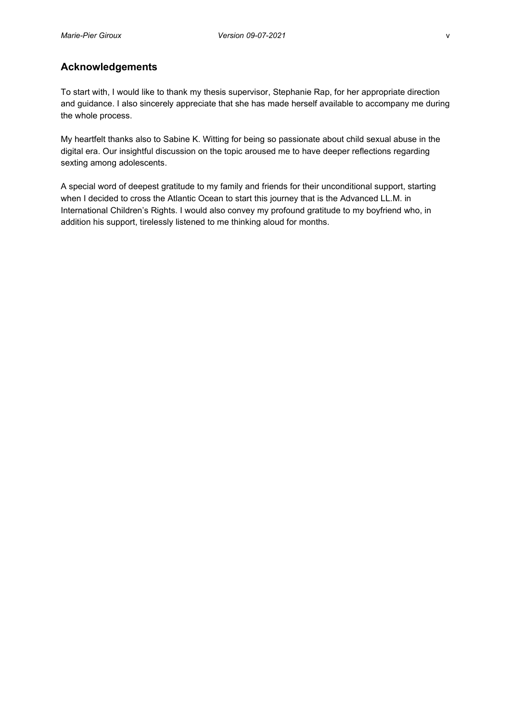# <span id="page-4-0"></span>**Acknowledgements**

To start with, I would like to thank my thesis supervisor, Stephanie Rap, for her appropriate direction and guidance. I also sincerely appreciate that she has made herself available to accompany me during the whole process.

My heartfelt thanks also to Sabine K. Witting for being so passionate about child sexual abuse in the digital era. Our insightful discussion on the topic aroused me to have deeper reflections regarding sexting among adolescents.

A special word of deepest gratitude to my family and friends for their unconditional support, starting when I decided to cross the Atlantic Ocean to start this journey that is the Advanced LL.M. in International Children's Rights. I would also convey my profound gratitude to my boyfriend who, in addition his support, tirelessly listened to me thinking aloud for months.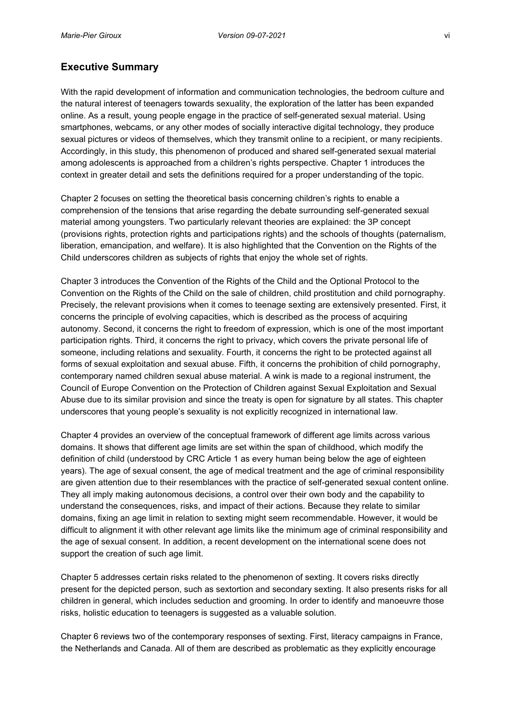# <span id="page-5-0"></span>**Executive Summary**

With the rapid development of information and communication technologies, the bedroom culture and the natural interest of teenagers towards sexuality, the exploration of the latter has been expanded online. As a result, young people engage in the practice of self-generated sexual material. Using smartphones, webcams, or any other modes of socially interactive digital technology, they produce sexual pictures or videos of themselves, which they transmit online to a recipient, or many recipients. Accordingly, in this study, this phenomenon of produced and shared self-generated sexual material among adolescents is approached from a children's rights perspective. Chapter 1 introduces the context in greater detail and sets the definitions required for a proper understanding of the topic.

Chapter 2 focuses on setting the theoretical basis concerning children's rights to enable a comprehension of the tensions that arise regarding the debate surrounding self-generated sexual material among youngsters. Two particularly relevant theories are explained: the 3P concept (provisions rights, protection rights and participations rights) and the schools of thoughts (paternalism, liberation, emancipation, and welfare). It is also highlighted that the Convention on the Rights of the Child underscores children as subjects of rights that enjoy the whole set of rights.

Chapter 3 introduces the Convention of the Rights of the Child and the Optional Protocol to the Convention on the Rights of the Child on the sale of children, child prostitution and child pornography. Precisely, the relevant provisions when it comes to teenage sexting are extensively presented. First, it concerns the principle of evolving capacities, which is described as the process of acquiring autonomy. Second, it concerns the right to freedom of expression, which is one of the most important participation rights. Third, it concerns the right to privacy, which covers the private personal life of someone, including relations and sexuality. Fourth, it concerns the right to be protected against all forms of sexual exploitation and sexual abuse. Fifth, it concerns the prohibition of child pornography, contemporary named children sexual abuse material. A wink is made to a regional instrument, the Council of Europe Convention on the Protection of Children against Sexual Exploitation and Sexual Abuse due to its similar provision and since the treaty is open for signature by all states. This chapter underscores that young people's sexuality is not explicitly recognized in international law.

Chapter 4 provides an overview of the conceptual framework of different age limits across various domains. It shows that different age limits are set within the span of childhood, which modify the definition of child (understood by CRC Article 1 as every human being below the age of eighteen years). The age of sexual consent, the age of medical treatment and the age of criminal responsibility are given attention due to their resemblances with the practice of self-generated sexual content online. They all imply making autonomous decisions, a control over their own body and the capability to understand the consequences, risks, and impact of their actions. Because they relate to similar domains, fixing an age limit in relation to sexting might seem recommendable. However, it would be difficult to alignment it with other relevant age limits like the minimum age of criminal responsibility and the age of sexual consent. In addition, a recent development on the international scene does not support the creation of such age limit.

Chapter 5 addresses certain risks related to the phenomenon of sexting. It covers risks directly present for the depicted person, such as sextortion and secondary sexting. It also presents risks for all children in general, which includes seduction and grooming. In order to identify and manoeuvre those risks, holistic education to teenagers is suggested as a valuable solution.

Chapter 6 reviews two of the contemporary responses of sexting. First, literacy campaigns in France, the Netherlands and Canada. All of them are described as problematic as they explicitly encourage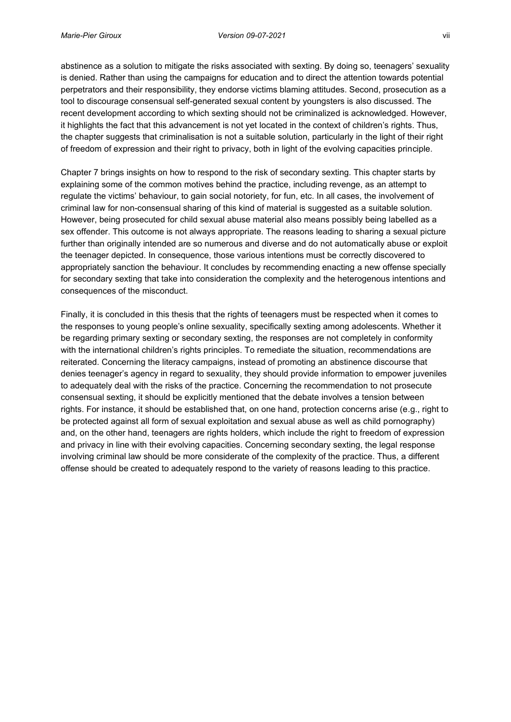abstinence as a solution to mitigate the risks associated with sexting. By doing so, teenagers' sexuality is denied. Rather than using the campaigns for education and to direct the attention towards potential perpetrators and their responsibility, they endorse victims blaming attitudes. Second, prosecution as a tool to discourage consensual self-generated sexual content by youngsters is also discussed. The recent development according to which sexting should not be criminalized is acknowledged. However, it highlights the fact that this advancement is not yet located in the context of children's rights. Thus, the chapter suggests that criminalisation is not a suitable solution, particularly in the light of their right of freedom of expression and their right to privacy, both in light of the evolving capacities principle.

Chapter 7 brings insights on how to respond to the risk of secondary sexting. This chapter starts by explaining some of the common motives behind the practice, including revenge, as an attempt to regulate the victims' behaviour, to gain social notoriety, for fun, etc. In all cases, the involvement of criminal law for non-consensual sharing of this kind of material is suggested as a suitable solution. However, being prosecuted for child sexual abuse material also means possibly being labelled as a sex offender. This outcome is not always appropriate. The reasons leading to sharing a sexual picture further than originally intended are so numerous and diverse and do not automatically abuse or exploit the teenager depicted. In consequence, those various intentions must be correctly discovered to appropriately sanction the behaviour. It concludes by recommending enacting a new offense specially for secondary sexting that take into consideration the complexity and the heterogenous intentions and consequences of the misconduct.

Finally, it is concluded in this thesis that the rights of teenagers must be respected when it comes to the responses to young people's online sexuality, specifically sexting among adolescents. Whether it be regarding primary sexting or secondary sexting, the responses are not completely in conformity with the international children's rights principles. To remediate the situation, recommendations are reiterated. Concerning the literacy campaigns, instead of promoting an abstinence discourse that denies teenager's agency in regard to sexuality, they should provide information to empower juveniles to adequately deal with the risks of the practice. Concerning the recommendation to not prosecute consensual sexting, it should be explicitly mentioned that the debate involves a tension between rights. For instance, it should be established that, on one hand, protection concerns arise (e.g., right to be protected against all form of sexual exploitation and sexual abuse as well as child pornography) and, on the other hand, teenagers are rights holders, which include the right to freedom of expression and privacy in line with their evolving capacities. Concerning secondary sexting, the legal response involving criminal law should be more considerate of the complexity of the practice. Thus, a different offense should be created to adequately respond to the variety of reasons leading to this practice.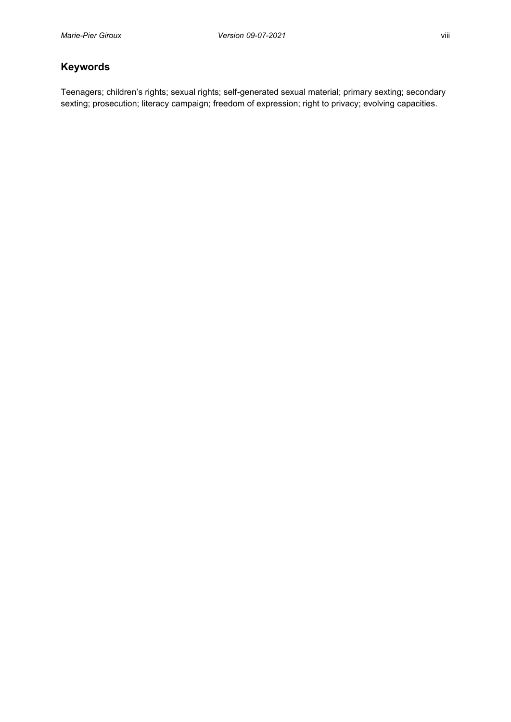# <span id="page-7-0"></span>**Keywords**

Teenagers; children's rights; sexual rights; self-generated sexual material; primary sexting; secondary sexting; prosecution; literacy campaign; freedom of expression; right to privacy; evolving capacities.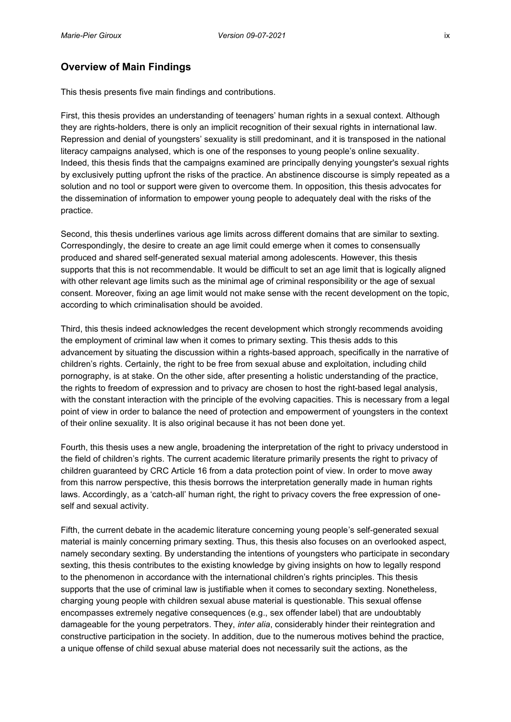# <span id="page-8-0"></span>**Overview of Main Findings**

This thesis presents five main findings and contributions.

First, this thesis provides an understanding of teenagers' human rights in a sexual context. Although they are rights-holders, there is only an implicit recognition of their sexual rights in international law. Repression and denial of youngsters' sexuality is still predominant, and it is transposed in the national literacy campaigns analysed, which is one of the responses to young people's online sexuality. Indeed, this thesis finds that the campaigns examined are principally denying youngster's sexual rights by exclusively putting upfront the risks of the practice. An abstinence discourse is simply repeated as a solution and no tool or support were given to overcome them. In opposition, this thesis advocates for the dissemination of information to empower young people to adequately deal with the risks of the practice.

Second, this thesis underlines various age limits across different domains that are similar to sexting. Correspondingly, the desire to create an age limit could emerge when it comes to consensually produced and shared self-generated sexual material among adolescents. However, this thesis supports that this is not recommendable. It would be difficult to set an age limit that is logically aligned with other relevant age limits such as the minimal age of criminal responsibility or the age of sexual consent. Moreover, fixing an age limit would not make sense with the recent development on the topic, according to which criminalisation should be avoided.

Third, this thesis indeed acknowledges the recent development which strongly recommends avoiding the employment of criminal law when it comes to primary sexting. This thesis adds to this advancement by situating the discussion within a rights-based approach, specifically in the narrative of children's rights. Certainly, the right to be free from sexual abuse and exploitation, including child pornography, is at stake. On the other side, after presenting a holistic understanding of the practice, the rights to freedom of expression and to privacy are chosen to host the right-based legal analysis, with the constant interaction with the principle of the evolving capacities. This is necessary from a legal point of view in order to balance the need of protection and empowerment of youngsters in the context of their online sexuality. It is also original because it has not been done yet.

Fourth, this thesis uses a new angle, broadening the interpretation of the right to privacy understood in the field of children's rights. The current academic literature primarily presents the right to privacy of children guaranteed by CRC Article 16 from a data protection point of view. In order to move away from this narrow perspective, this thesis borrows the interpretation generally made in human rights laws. Accordingly, as a 'catch-all' human right, the right to privacy covers the free expression of oneself and sexual activity.

Fifth, the current debate in the academic literature concerning young people's self-generated sexual material is mainly concerning primary sexting. Thus, this thesis also focuses on an overlooked aspect, namely secondary sexting. By understanding the intentions of youngsters who participate in secondary sexting, this thesis contributes to the existing knowledge by giving insights on how to legally respond to the phenomenon in accordance with the international children's rights principles. This thesis supports that the use of criminal law is justifiable when it comes to secondary sexting. Nonetheless, charging young people with children sexual abuse material is questionable. This sexual offense encompasses extremely negative consequences (e.g., sex offender label) that are undoubtably damageable for the young perpetrators. They, *inter alia*, considerably hinder their reintegration and constructive participation in the society. In addition, due to the numerous motives behind the practice, a unique offense of child sexual abuse material does not necessarily suit the actions, as the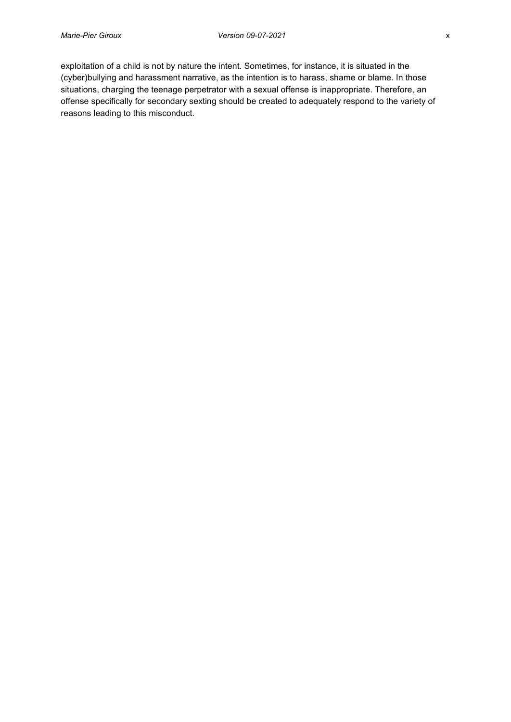exploitation of a child is not by nature the intent. Sometimes, for instance, it is situated in the (cyber)bullying and harassment narrative, as the intention is to harass, shame or blame. In those situations, charging the teenage perpetrator with a sexual offense is inappropriate. Therefore, an offense specifically for secondary sexting should be created to adequately respond to the variety of reasons leading to this misconduct.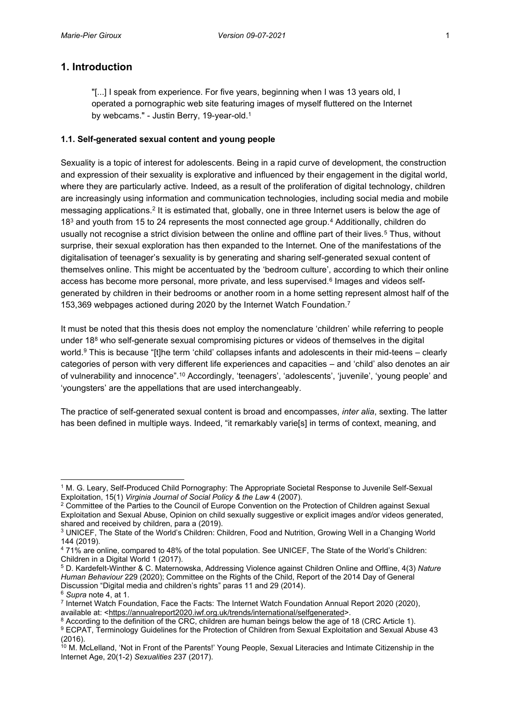# <span id="page-10-0"></span>**1. Introduction**

"[...] I speak from experience. For five years, beginning when I was 13 years old, I operated a pornographic web site featuring images of myself fluttered on the Internet by webcams." - Justin Berry, 19-year-old. 1

### <span id="page-10-1"></span>**1.1. Self-generated sexual content and young people**

Sexuality is a topic of interest for adolescents. Being in a rapid curve of development, the construction and expression of their sexuality is explorative and influenced by their engagement in the digital world, where they are particularly active. Indeed, as a result of the proliferation of digital technology, children are increasingly using information and communication technologies, including social media and mobile messaging applications.2 It is estimated that, globally, one in three Internet users is below the age of 183 and youth from 15 to 24 represents the most connected age group.4 Additionally, children do usually not recognise a strict division between the online and offline part of their lives.<sup>5</sup> Thus, without surprise, their sexual exploration has then expanded to the Internet. One of the manifestations of the digitalisation of teenager's sexuality is by generating and sharing self-generated sexual content of themselves online. This might be accentuated by the 'bedroom culture', according to which their online access has become more personal, more private, and less supervised.<sup>6</sup> Images and videos selfgenerated by children in their bedrooms or another room in a home setting represent almost half of the 153,369 webpages actioned during 2020 by the Internet Watch Foundation.7

It must be noted that this thesis does not employ the nomenclature 'children' while referring to people under 18<sup>8</sup> who self-generate sexual compromising pictures or videos of themselves in the digital world. <sup>9</sup> This is because "[t]he term 'child' collapses infants and adolescents in their mid-teens – clearly categories of person with very different life experiences and capacities – and 'child' also denotes an air of vulnerability and innocence".<sup>10</sup> Accordingly, 'teenagers', 'adolescents', 'juvenile', 'young people' and 'youngsters' are the appellations that are used interchangeably.

The practice of self-generated sexual content is broad and encompasses, *inter alia*, sexting. The latter has been defined in multiple ways. Indeed, "it remarkably varie[s] in terms of context, meaning, and

<sup>1</sup> M. G. Leary, Self-Produced Child Pornography: The Appropriate Societal Response to Juvenile Self-Sexual Exploitation, 15(1) *Virginia Journal of Social Policy & the Law* 4 (2007).

<sup>&</sup>lt;sup>2</sup> Committee of the Parties to the Council of Europe Convention on the Protection of Children against Sexual Exploitation and Sexual Abuse, Opinion on child sexually suggestive or explicit images and/or videos generated, shared and received by children, para a (2019).

<sup>3</sup> UNICEF, The State of the World's Children: Children, Food and Nutrition, Growing Well in a Changing World 144 (2019).

<sup>4</sup> 71% are online, compared to 48% of the total population. See UNICEF, The State of the World's Children: Children in a Digital World 1 (2017).

<sup>5</sup> D. Kardefelt-Winther & C. Maternowska, Addressing Violence against Children Online and Offline, 4(3) *Nature Human Behaviour* 229 (2020); Committee on the Rights of the Child, Report of the 2014 Day of General Discussion "Digital media and children's rights" paras 11 and 29 (2014).

<sup>6</sup> *Supra* note 4, at 1.

<sup>7</sup> Internet Watch Foundation, Face the Facts: The Internet Watch Foundation Annual Report 2020 (2020), available at: [<https://annualreport2020.iwf.org.uk/trends/international/selfgenerated>](https://annualreport2020.iwf.org.uk/trends/international/selfgenerated).

<sup>&</sup>lt;sup>8</sup> According to the definition of the CRC, children are human beings below the age of 18 (CRC Article 1).

<sup>9</sup> ECPAT, Terminology Guidelines for the Protection of Children from Sexual Exploitation and Sexual Abuse 43 (2016).

<sup>&</sup>lt;sup>10</sup> M. McLelland, 'Not in Front of the Parents!' Young People, Sexual Literacies and Intimate Citizenship in the Internet Age, 20(1-2) *Sexualities* 237 (2017).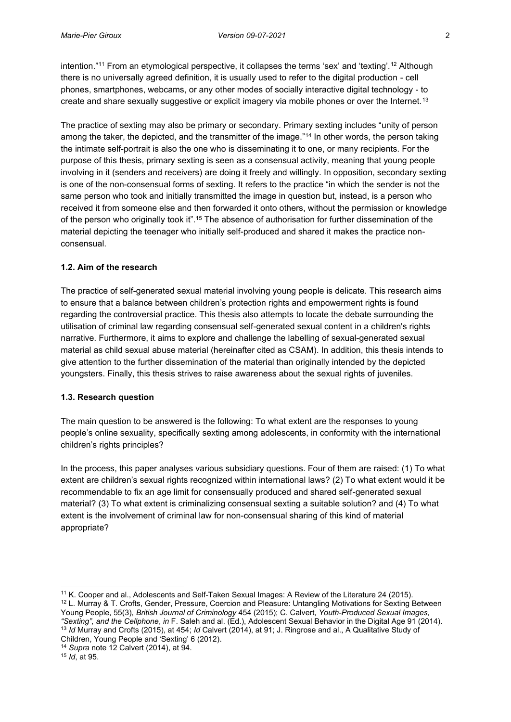intention."<sup>11</sup> From an etymological perspective, it collapses the terms 'sex' and 'texting'.<sup>12</sup> Although there is no universally agreed definition, it is usually used to refer to the digital production - cell phones, smartphones, webcams, or any other modes of socially interactive digital technology - to create and share sexually suggestive or explicit imagery via mobile phones or over the Internet.<sup>13</sup>

The practice of sexting may also be primary or secondary. Primary sexting includes "unity of person among the taker, the depicted, and the transmitter of the image."<sup>14</sup> In other words, the person taking the intimate self-portrait is also the one who is disseminating it to one, or many recipients. For the purpose of this thesis, primary sexting is seen as a consensual activity, meaning that young people involving in it (senders and receivers) are doing it freely and willingly. In opposition, secondary sexting is one of the non-consensual forms of sexting. It refers to the practice "in which the sender is not the same person who took and initially transmitted the image in question but, instead, is a person who received it from someone else and then forwarded it onto others, without the permission or knowledge of the person who originally took it".<sup>15</sup> The absence of authorisation for further dissemination of the material depicting the teenager who initially self-produced and shared it makes the practice nonconsensual.

## <span id="page-11-0"></span>**1.2. Aim of the research**

The practice of self-generated sexual material involving young people is delicate. This research aims to ensure that a balance between children's protection rights and empowerment rights is found regarding the controversial practice. This thesis also attempts to locate the debate surrounding the utilisation of criminal law regarding consensual self-generated sexual content in a children's rights narrative. Furthermore, it aims to explore and challenge the labelling of sexual-generated sexual material as child sexual abuse material (hereinafter cited as CSAM). In addition, this thesis intends to give attention to the further dissemination of the material than originally intended by the depicted youngsters. Finally, this thesis strives to raise awareness about the sexual rights of juveniles.

### <span id="page-11-1"></span>**1.3. Research question**

The main question to be answered is the following: To what extent are the responses to young people's online sexuality, specifically sexting among adolescents, in conformity with the international children's rights principles?

In the process, this paper analyses various subsidiary questions. Four of them are raised: (1) To what extent are children's sexual rights recognized within international laws? (2) To what extent would it be recommendable to fix an age limit for consensually produced and shared self-generated sexual material? (3) To what extent is criminalizing consensual sexting a suitable solution? and (4) To what extent is the involvement of criminal law for non-consensual sharing of this kind of material appropriate?

<sup>11</sup> K. Cooper and al., Adolescents and Self-Taken Sexual Images: A Review of the Literature 24 (2015). <sup>12</sup> L. Murray & T. Crofts, Gender, Pressure, Coercion and Pleasure: Untangling Motivations for Sexting Between Young People, 55(3), *British Journal of Criminology* 454 (2015); C. Calvert, *Youth-Produced Sexual Images, "Sexting", and the Cellphone*, *in* F. Saleh and al. (Ed.), Adolescent Sexual Behavior in the Digital Age 91 (2014). <sup>13</sup> *Id* Murray and Crofts (2015), at 454; *Id* Calvert (2014), at 91; J. Ringrose and al., A Qualitative Study of

Children, Young People and 'Sexting' 6 (2012). 14 *Supra* note 12 Calvert (2014), at 94.

<sup>15</sup> *Id*, at 95.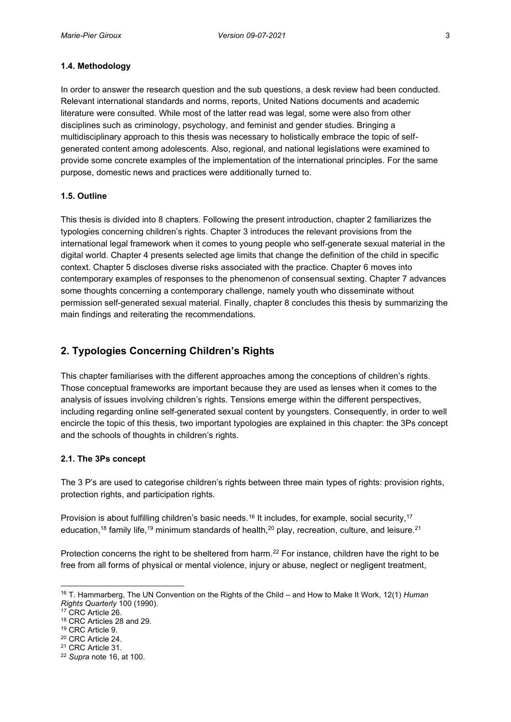#### <span id="page-12-0"></span>**1.4. Methodology**

In order to answer the research question and the sub questions, a desk review had been conducted. Relevant international standards and norms, reports, United Nations documents and academic literature were consulted. While most of the latter read was legal, some were also from other disciplines such as criminology, psychology, and feminist and gender studies. Bringing a multidisciplinary approach to this thesis was necessary to holistically embrace the topic of selfgenerated content among adolescents. Also, regional, and national legislations were examined to provide some concrete examples of the implementation of the international principles. For the same purpose, domestic news and practices were additionally turned to.

#### <span id="page-12-1"></span>**1.5. Outline**

This thesis is divided into 8 chapters. Following the present introduction, chapter 2 familiarizes the typologies concerning children's rights. Chapter 3 introduces the relevant provisions from the international legal framework when it comes to young people who self-generate sexual material in the digital world. Chapter 4 presents selected age limits that change the definition of the child in specific context. Chapter 5 discloses diverse risks associated with the practice. Chapter 6 moves into contemporary examples of responses to the phenomenon of consensual sexting. Chapter 7 advances some thoughts concerning a contemporary challenge, namely youth who disseminate without permission self-generated sexual material. Finally, chapter 8 concludes this thesis by summarizing the main findings and reiterating the recommendations.

# <span id="page-12-2"></span>**2. Typologies Concerning Children's Rights**

This chapter familiarises with the different approaches among the conceptions of children's rights. Those conceptual frameworks are important because they are used as lenses when it comes to the analysis of issues involving children's rights. Tensions emerge within the different perspectives, including regarding online self-generated sexual content by youngsters. Consequently, in order to well encircle the topic of this thesis, two important typologies are explained in this chapter: the 3Ps concept and the schools of thoughts in children's rights.

#### <span id="page-12-3"></span>**2.1. The 3Ps concept**

The 3 P's are used to categorise children's rights between three main types of rights: provision rights, protection rights, and participation rights.

Provision is about fulfilling children's basic needs.<sup>16</sup> It includes, for example, social security,<sup>17</sup> education,<sup>18</sup> family life,<sup>19</sup> minimum standards of health,<sup>20</sup> play, recreation, culture, and leisure.<sup>21</sup>

Protection concerns the right to be sheltered from harm.<sup>22</sup> For instance, children have the right to be free from all forms of physical or mental violence, injury or abuse, neglect or negligent treatment,

<sup>16</sup> T. Hammarberg, The UN Convention on the Rights of the Child – and How to Make It Work, 12(1) *Human Rights Quarterly* 100 (1990).

<sup>&</sup>lt;sup>17</sup> CRC Article 26.

<sup>18</sup> CRC Articles 28 and 29. 19 CRC Article 9. 20 CRC Article 24. 21 CRC Article 31. 22 *Supra* note 16, at 100.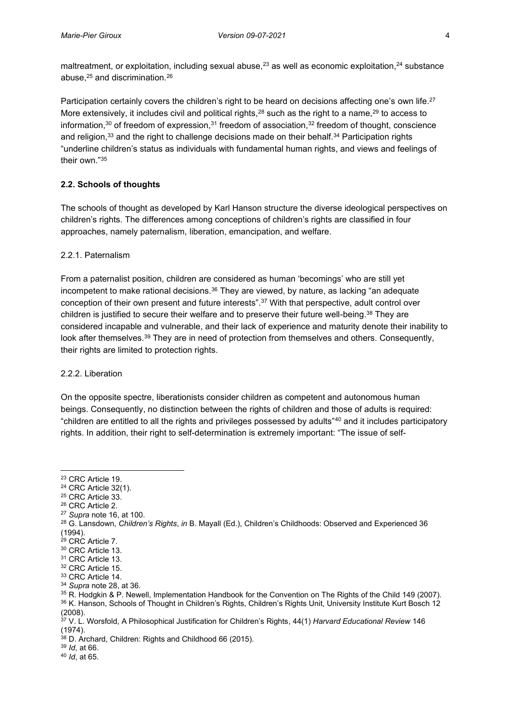maltreatment, or exploitation, including sexual abuse, $^{23}$  as well as economic exploitation, $^{24}$  substance abuse, <sup>25</sup> and discrimination.26

Participation certainly covers the children's right to be heard on decisions affecting one's own life.<sup>27</sup> More extensively, it includes civil and political rights, $28$  such as the right to a name, $29$  to access to information, $30$  of freedom of expression, $31$  freedom of association, $32$  freedom of thought, conscience and religion,<sup>33</sup> and the right to challenge decisions made on their behalf.<sup>34</sup> Participation rights "underline children's status as individuals with fundamental human rights, and views and feelings of their own."<sup>35</sup>

# <span id="page-13-0"></span>**2.2. Schools of thoughts**

The schools of thought as developed by Karl Hanson structure the diverse ideological perspectives on children's rights. The differences among conceptions of children's rights are classified in four approaches, namely paternalism, liberation, emancipation, and welfare.

### <span id="page-13-1"></span>2.2.1. Paternalism

From a paternalist position, children are considered as human 'becomings' who are still yet incompetent to make rational decisions.<sup>36</sup> They are viewed, by nature, as lacking "an adequate conception of their own present and future interests".<sup>37</sup> With that perspective, adult control over children is justified to secure their welfare and to preserve their future well-being.<sup>38</sup> They are considered incapable and vulnerable, and their lack of experience and maturity denote their inability to look after themselves.39 They are in need of protection from themselves and others. Consequently, their rights are limited to protection rights.

### <span id="page-13-2"></span>2.2.2. Liberation

On the opposite spectre, liberationists consider children as competent and autonomous human beings. Consequently, no distinction between the rights of children and those of adults is required: "children are entitled to all the rights and privileges possessed by adults"<sup>40</sup> and it includes participatory rights. In addition, their right to self-determination is extremely important: "The issue of self-

<sup>27</sup> *Supra* note 16, at 100.

<sup>23</sup> CRC Article 19.

 $24$  CRC Article 32(1).<br> $25$  CRC Article 33.

<sup>&</sup>lt;sup>26</sup> CRC Article 2.

<sup>28</sup> G. Lansdown, *Children's Rights*, *in* B. Mayall (Ed.), Children's Childhoods: Observed and Experienced 36 (1994).

<sup>29</sup> CRC Article 7.

 $30$  CRC Article 13.<br> $31$  CRC Article 13.

<sup>&</sup>lt;sup>32</sup> CRC Article 15.

<sup>33</sup> CRC Article 14.

<sup>34</sup> *Supra* note 28, at 36.

<sup>&</sup>lt;sup>35</sup> R. Hodgkin & P. Newell, Implementation Handbook for the Convention on The Rights of the Child 149 (2007). 36 K. Hanson, Schools of Thought in Children's Rights, Children's Rights Unit, University Institute Kurt Bosch 12 (2008).

<sup>37</sup> V. L. Worsfold, A Philosophical Justification for Children's Rights, 44(1) *Harvard Educational Review* 146 (1974).

 $38$  D. Archard, Children: Rights and Childhood 66 (2015).

<sup>39</sup> *Id*, at 66.

<sup>40</sup> *Id*, at 65.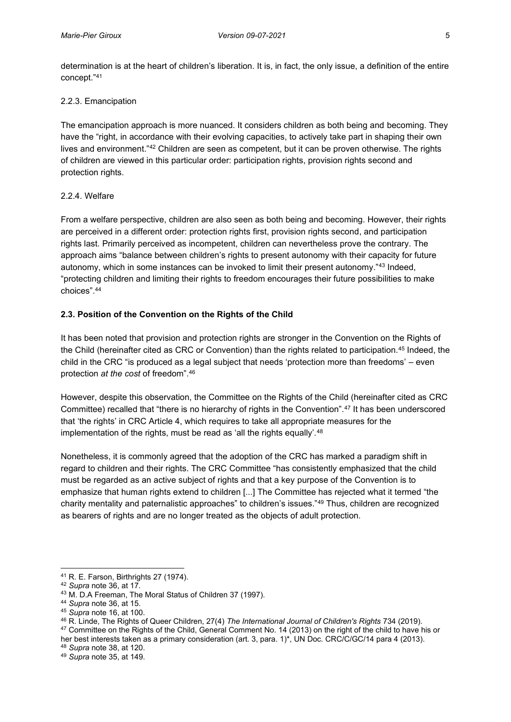determination is at the heart of children's liberation. It is, in fact, the only issue, a definition of the entire concept."<sup>41</sup>

### <span id="page-14-0"></span>2.2.3. Emancipation

The emancipation approach is more nuanced. It considers children as both being and becoming. They have the "right, in accordance with their evolving capacities, to actively take part in shaping their own lives and environment."<sup>42</sup> Children are seen as competent, but it can be proven otherwise. The rights of children are viewed in this particular order: participation rights, provision rights second and protection rights.

### <span id="page-14-1"></span>2.2.4. Welfare

From a welfare perspective, children are also seen as both being and becoming. However, their rights are perceived in a different order: protection rights first, provision rights second, and participation rights last. Primarily perceived as incompetent, children can nevertheless prove the contrary. The approach aims "balance between children's rights to present autonomy with their capacity for future autonomy, which in some instances can be invoked to limit their present autonomy."<sup>43</sup> Indeed, "protecting children and limiting their rights to freedom encourages their future possibilities to make choices".<sup>44</sup>

# <span id="page-14-2"></span>**2.3. Position of the Convention on the Rights of the Child**

It has been noted that provision and protection rights are stronger in the Convention on the Rights of the Child (hereinafter cited as CRC or Convention) than the rights related to participation.<sup>45</sup> Indeed, the child in the CRC "is produced as a legal subject that needs 'protection more than freedoms' – even protection *at the cost* of freedom".<sup>46</sup>

However, despite this observation, the Committee on the Rights of the Child (hereinafter cited as CRC Committee) recalled that "there is no hierarchy of rights in the Convention".<sup>47</sup> It has been underscored that 'the rights' in CRC Article 4, which requires to take all appropriate measures for the implementation of the rights, must be read as 'all the rights equally'.<sup>48</sup>

Nonetheless, it is commonly agreed that the adoption of the CRC has marked a paradigm shift in regard to children and their rights. The CRC Committee "has consistently emphasized that the child must be regarded as an active subject of rights and that a key purpose of the Convention is to emphasize that human rights extend to children [...] The Committee has rejected what it termed "the charity mentality and paternalistic approaches" to children's issues."<sup>49</sup> Thus, children are recognized as bearers of rights and are no longer treated as the objects of adult protection.

<sup>41</sup> R. E. Farson, Birthrights 27 (1974).

<sup>42</sup> *Supra* note 36, at 17.

<sup>43</sup> M. D.A Freeman, The Moral Status of Children 37 (1997).

<sup>44</sup> *Supra* note 36, at 15.

<sup>45</sup> *Supra* note 16, at 100.

<sup>46</sup> R. Linde, The Rights of Queer Children, 27(4) *The International Journal of Children's Rights* 734 (2019). <sup>47</sup> Committee on the Rights of the Child, General Comment No. 14 (2013) on the right of the child to have his or her best interests taken as a primary consideration (art. 3, para. 1)\*, UN Doc. CRC/C/GC/14 para 4 (2013). <sup>48</sup> *Supra* note 38, at 120.

<sup>49</sup> *Supra* note 35, at 149.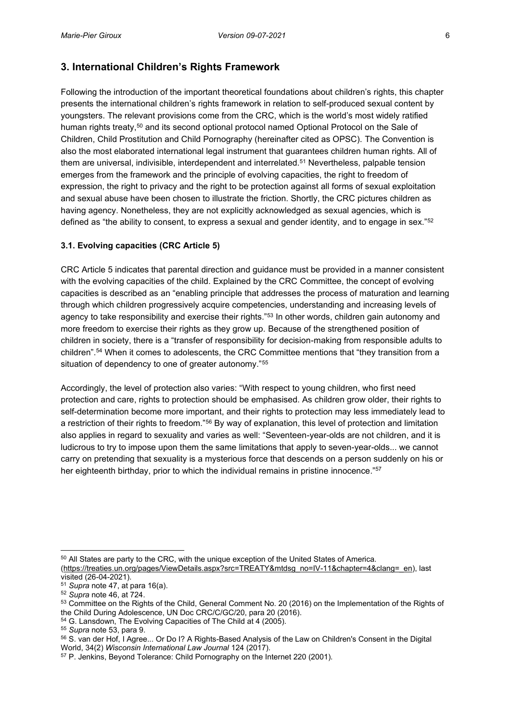# <span id="page-15-0"></span>**3. International Children's Rights Framework**

Following the introduction of the important theoretical foundations about children's rights, this chapter presents the international children's rights framework in relation to self-produced sexual content by youngsters. The relevant provisions come from the CRC, which is the world's most widely ratified human rights treaty,<sup>50</sup> and its second optional protocol named Optional Protocol on the Sale of Children, Child Prostitution and Child Pornography (hereinafter cited as OPSC). The Convention is also the most elaborated international legal instrument that guarantees children human rights. All of them are universal, indivisible, interdependent and interrelated.<sup>51</sup> Nevertheless, palpable tension emerges from the framework and the principle of evolving capacities, the right to freedom of expression, the right to privacy and the right to be protection against all forms of sexual exploitation and sexual abuse have been chosen to illustrate the friction. Shortly, the CRC pictures children as having agency. Nonetheless, they are not explicitly acknowledged as sexual agencies, which is defined as "the ability to consent, to express a sexual and gender identity, and to engage in sex."52

### <span id="page-15-1"></span>**3.1. Evolving capacities (CRC Article 5)**

CRC Article 5 indicates that parental direction and guidance must be provided in a manner consistent with the evolving capacities of the child. Explained by the CRC Committee, the concept of evolving capacities is described as an "enabling principle that addresses the process of maturation and learning through which children progressively acquire competencies, understanding and increasing levels of agency to take responsibility and exercise their rights."<sup>53</sup> In other words, children gain autonomy and more freedom to exercise their rights as they grow up. Because of the strengthened position of children in society, there is a "transfer of responsibility for decision-making from responsible adults to children".<sup>54</sup> When it comes to adolescents, the CRC Committee mentions that "they transition from a situation of dependency to one of greater autonomy."<sup>55</sup>

Accordingly, the level of protection also varies: "With respect to young children, who first need protection and care, rights to protection should be emphasised. As children grow older, their rights to self-determination become more important, and their rights to protection may less immediately lead to a restriction of their rights to freedom."<sup>56</sup> By way of explanation, this level of protection and limitation also applies in regard to sexuality and varies as well: "Seventeen-year-olds are not children, and it is ludicrous to try to impose upon them the same limitations that apply to seven-year-olds... we cannot carry on pretending that sexuality is a mysterious force that descends on a person suddenly on his or her eighteenth birthday, prior to which the individual remains in pristine innocence."57

<sup>&</sup>lt;sup>50</sup> All States are party to the CRC, with the unique exception of the United States of America. [\(https://treaties.un.org/pages/ViewDetails.aspx?src=TREATY&mtdsg\\_no=IV-11&chapter=4&clang=\\_en\)](https://treaties.un.org/pages/ViewDetails.aspx?src=TREATY&mtdsg_no=IV-11&chapter=4&clang=_en), last

visited (26-04-2021).

<sup>51</sup> *Supra* note 47, at para 16(a).

<sup>52</sup> *Supra* note 46, at 724.

<sup>53</sup> Committee on the Rights of the Child, General Comment No. 20 (2016) on the Implementation of the Rights of the Child During Adolescence, UN Doc CRC/C/GC/20, para 20 (2016).

<sup>54</sup> G. Lansdown, The Evolving Capacities of The Child at 4 (2005).

<sup>55</sup> *Supra* note 53, para 9.

<sup>56</sup> S. van der Hof, I Agree... Or Do I? A Rights-Based Analysis of the Law on Children's Consent in the Digital World, 34(2) *[Wisconsin International Law Journal](https://scholarlypublications.universiteitleiden.nl/search?type=dismax&f%5B0%5D=mods_relatedItem_host_titleInfo_title_ms%3AWisconsin%5C%20International%5C%20Law%5C%20Journal)* 124 (2017).

<sup>57</sup> P. Jenkins, Beyond Tolerance: Child Pornography on the Internet 220 (2001).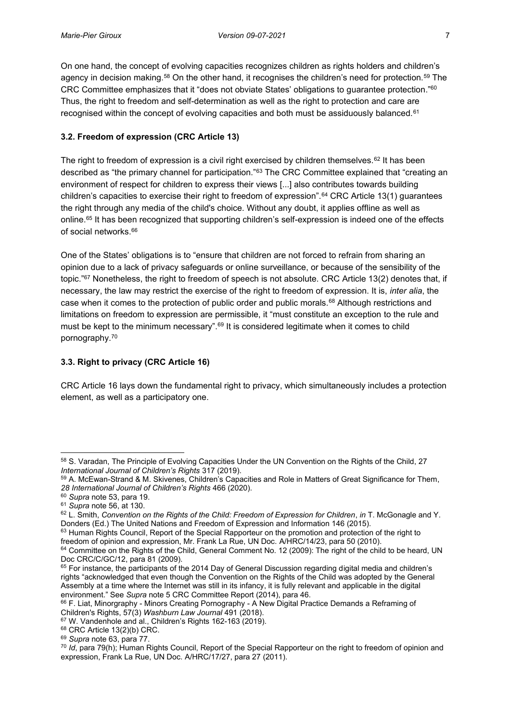On one hand, the concept of evolving capacities recognizes children as rights holders and children's agency in decision making.<sup>58</sup> On the other hand, it recognises the children's need for protection.<sup>59</sup> The CRC Committee emphasizes that it "does not obviate States' obligations to guarantee protection."<sup>60</sup> Thus, the right to freedom and self-determination as well as the right to protection and care are recognised within the concept of evolving capacities and both must be assiduously balanced.<sup>61</sup>

## <span id="page-16-0"></span>**3.2. Freedom of expression (CRC Article 13)**

The right to freedom of expression is a civil right exercised by children themselves.<sup>62</sup> It has been described as "the primary channel for participation."<sup>63</sup> The CRC Committee explained that "creating an environment of respect for children to express their views [...] also contributes towards building children's capacities to exercise their right to freedom of expression".<sup>64</sup> CRC Article 13(1) guarantees the right through any media of the child's choice. Without any doubt, it applies offline as well as online.65 It has been recognized that supporting children's self-expression is indeed one of the effects of social networks.<sup>66</sup>

One of the States' obligations is to "ensure that children are not forced to refrain from sharing an opinion due to a lack of privacy safeguards or online surveillance, or because of the sensibility of the topic."<sup>67</sup> Nonetheless, the right to freedom of speech is not absolute. CRC Article 13(2) denotes that, if necessary, the law may restrict the exercise of the right to freedom of expression. It is, *inter alia*, the case when it comes to the protection of public order and public morals.<sup>68</sup> Although restrictions and limitations on freedom to expression are permissible, it "must constitute an exception to the rule and must be kept to the minimum necessary".<sup>69</sup> It is considered legitimate when it comes to child pornography.70

# <span id="page-16-1"></span>**3.3. Right to privacy (CRC Article 16)**

CRC Article 16 lays down the fundamental right to privacy, which simultaneously includes a protection element, as well as a participatory one.

<sup>58</sup> S. Varadan, The Principle of Evolving Capacities Under the UN Convention on the Rights of the Child, 27 *International Journal of Children's Rights* 317 (2019).

<sup>59</sup> A. McEwan-Strand & M. Skivenes, Children's Capacities and Role in Matters of Great Significance for Them, *28 International Journal of Children's Rights* 466 (2020). 60 *Supra* note 53, para 19.

<sup>61</sup> *Supra* note 56, at 130.

<sup>62</sup> L. Smith, *Convention on the Rights of the Child: Freedom of Expression for Children*, *in* T. McGonagle and Y. Donders (Ed.) The United Nations and Freedom of Expression and Information 146 (2015).

<sup>&</sup>lt;sup>63</sup> Human Rights Council, Report of the Special Rapporteur on the promotion and protection of the right to freedom of opinion and expression, Mr. Frank La Rue, UN Doc. A/HRC/14/23, para 50 (2010).

<sup>&</sup>lt;sup>64</sup> Committee on the Rights of the Child, General Comment No. 12 (2009): The right of the child to be heard, UN Doc CRC/C/GC/12, para 81 (2009).

<sup>&</sup>lt;sup>65</sup> For instance, the participants of the 2014 Day of General Discussion regarding digital media and children's rights "acknowledged that even though the Convention on the Rights of the Child was adopted by the General Assembly at a time where the Internet was still in its infancy, it is fully relevant and applicable in the digital environment." See *Supra* note 5 CRC Committee Report (2014), para 46.

<sup>66</sup> F. Liat, Minorgraphy - Minors Creating Pornography - A New Digital Practice Demands a Reframing of Children's Rights, 57(3) *Washburn Law Journal* 491 (2018).

<sup>67</sup> W. Vandenhole and al., Children's Rights 162-163 (2019).

<sup>68</sup> CRC Article 13(2)(b) CRC.

<sup>69</sup> *Supra* note 63, para 77.

<sup>70</sup> *Id*, para 79(h); Human Rights Council, Report of the Special Rapporteur on the right to freedom of opinion and expression, Frank La Rue, UN Doc. A/HRC/17/27, para 27 (2011).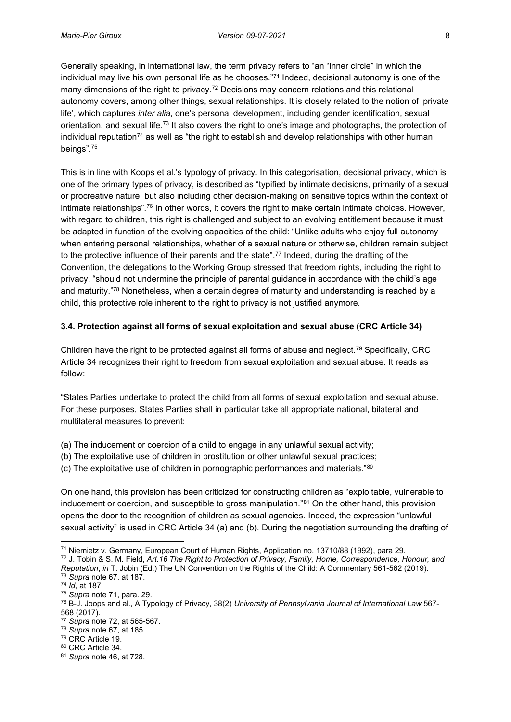Generally speaking, in international law, the term privacy refers to "an "inner circle" in which the individual may live his own personal life as he chooses."<sup>71</sup> Indeed, decisional autonomy is one of the many dimensions of the right to privacy.<sup>72</sup> Decisions may concern relations and this relational autonomy covers, among other things, sexual relationships. It is closely related to the notion of 'private life', which captures *inter alia*, one's personal development, including gender identification, sexual orientation, and sexual life.73 It also covers the right to one's image and photographs, the protection of individual reputation<sup>74</sup> as well as "the right to establish and develop relationships with other human beings".<sup>75</sup>

This is in line with Koops et al.'s typology of privacy. In this categorisation, decisional privacy, which is one of the primary types of privacy, is described as "typified by intimate decisions, primarily of a sexual or procreative nature, but also including other decision-making on sensitive topics within the context of intimate relationships".<sup>76</sup> In other words, it covers the right to make certain intimate choices. However, with regard to children, this right is challenged and subject to an evolving entitlement because it must be adapted in function of the evolving capacities of the child: "Unlike adults who enjoy full autonomy when entering personal relationships, whether of a sexual nature or otherwise, children remain subject to the protective influence of their parents and the state".<sup>77</sup> Indeed, during the drafting of the Convention, the delegations to the Working Group stressed that freedom rights, including the right to privacy, "should not undermine the principle of parental guidance in accordance with the child's age and maturity."<sup>78</sup> Nonetheless, when a certain degree of maturity and understanding is reached by a child, this protective role inherent to the right to privacy is not justified anymore.

#### <span id="page-17-0"></span>**3.4. Protection against all forms of sexual exploitation and sexual abuse (CRC Article 34)**

Children have the right to be protected against all forms of abuse and neglect.79 Specifically, CRC Article 34 recognizes their right to freedom from sexual exploitation and sexual abuse. It reads as follow:

"States Parties undertake to protect the child from all forms of sexual exploitation and sexual abuse. For these purposes, States Parties shall in particular take all appropriate national, bilateral and multilateral measures to prevent:

- (a) The inducement or coercion of a child to engage in any unlawful sexual activity;
- (b) The exploitative use of children in prostitution or other unlawful sexual practices;
- (c) The exploitative use of children in pornographic performances and materials."<sup>80</sup>

On one hand, this provision has been criticized for constructing children as "exploitable, vulnerable to inducement or coercion, and susceptible to gross manipulation."<sup>81</sup> On the other hand, this provision opens the door to the recognition of children as sexual agencies. Indeed, the expression "unlawful sexual activity" is used in CRC Article 34 (a) and (b). During the negotiation surrounding the drafting of

<sup>79</sup> CRC Article 19.

<sup>71</sup> Niemietz v. Germany, European Court of Human Rights, Application no. 13710/88 (1992), para 29.

<sup>72</sup> J. Tobin & S. M. Field, *Art.16 The Right to Protection of Privacy, Family, Home, Correspondence, Honour, and Reputation, in* T. Jobin (Ed.) The UN Convention on the Rights of the Child: A Commentary 561-562 (2019).<br><sup>73</sup> *Supra* note 67, at 187.

<sup>74</sup> *Id*, at 187.

<sup>75</sup> *Supra* note 71, para. 29.

<sup>76</sup> B-J. Joops and al., A Typology of Privacy, 38(2) *University of Pennsylvania Journal of International Law* 567- 568 (2017).

<sup>77</sup> *Supra* note 72, at 565-567.

<sup>78</sup> *Supra* note 67, at 185.

<sup>80</sup> CRC Article 34.

<sup>81</sup> *Supra* note 46, at 728.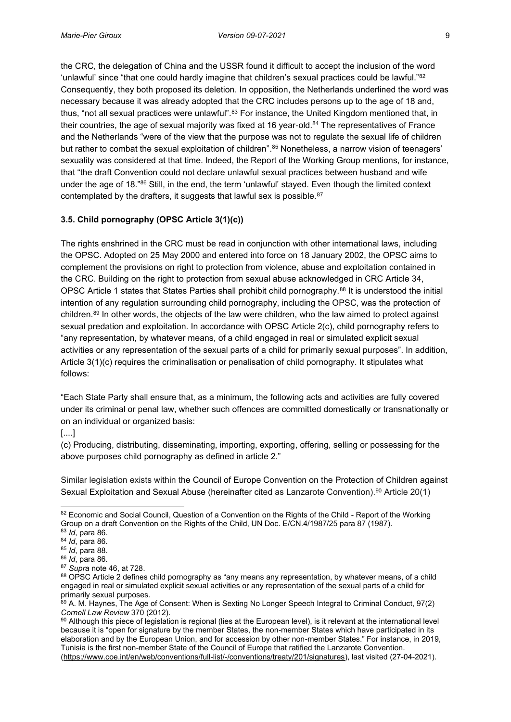the CRC, the delegation of China and the USSR found it difficult to accept the inclusion of the word 'unlawful' since "that one could hardly imagine that children's sexual practices could be lawful."<sup>82</sup> Consequently, they both proposed its deletion. In opposition, the Netherlands underlined the word was necessary because it was already adopted that the CRC includes persons up to the age of 18 and, thus, "not all sexual practices were unlawful".<sup>83</sup> For instance, the United Kingdom mentioned that, in their countries, the age of sexual majority was fixed at 16 year-old.<sup>84</sup> The representatives of France and the Netherlands "were of the view that the purpose was not to regulate the sexual life of children but rather to combat the sexual exploitation of children". <sup>85</sup> Nonetheless, a narrow vision of teenagers' sexuality was considered at that time. Indeed, the Report of the Working Group mentions, for instance, that "the draft Convention could not declare unlawful sexual practices between husband and wife under the age of 18."<sup>86</sup> Still, in the end, the term 'unlawful' stayed. Even though the limited context contemplated by the drafters, it suggests that lawful sex is possible.<sup>87</sup>

### <span id="page-18-0"></span>**3.5. Child pornography (OPSC Article 3(1)(c))**

The rights enshrined in the CRC must be read in conjunction with other international laws, including the OPSC. Adopted on 25 May 2000 and entered into force on 18 January 2002, the OPSC aims to complement the provisions on right to protection from violence, abuse and exploitation contained in the CRC. Building on the right to protection from sexual abuse acknowledged in CRC Article 34, OPSC Article 1 states that States Parties shall prohibit child pornography.<sup>88</sup> It is understood the initial intention of any regulation surrounding child pornography, including the OPSC, was the protection of children.89 In other words, the objects of the law were children, who the law aimed to protect against sexual predation and exploitation. In accordance with OPSC Article 2(c), child pornography refers to "any representation, by whatever means, of a child engaged in real or simulated explicit sexual activities or any representation of the sexual parts of a child for primarily sexual purposes". In addition, Article 3(1)(c) requires the criminalisation or penalisation of child pornography. It stipulates what follows:

"Each State Party shall ensure that, as a minimum, the following acts and activities are fully covered under its criminal or penal law, whether such offences are committed domestically or transnationally or on an individual or organized basis:

[....]

(c) Producing, distributing, disseminating, importing, exporting, offering, selling or possessing for the above purposes child pornography as defined in article 2."

Similar legislation exists within the Council of Europe Convention on the Protection of Children against Sexual Exploitation and Sexual Abuse (hereinafter cited as Lanzarote Convention).<sup>90</sup> Article 20(1)

<sup>82</sup> Economic and Social Council, Question of a Convention on the Rights of the Child - Report of the Working Group on a draft Convention on the Rights of the Child, UN Doc. E/CN.4/1987/25 para 87 (1987).<br><sup>83</sup> *Id.* para 86.

<sup>84</sup> *Id*, para 86.

<sup>85</sup> *Id*, para 88.

<sup>86</sup> *Id*, para 86.

<sup>87</sup> *Supra* note 46, at 728.

<sup>88</sup> OPSC Article 2 defines child pornography as "any means any representation, by whatever means, of a child engaged in real or simulated explicit sexual activities or any representation of the sexual parts of a child for primarily sexual purposes.

<sup>89</sup> A. M. Haynes, The Age of Consent: When is Sexting No Longer Speech Integral to Criminal Conduct, 97(2) *Cornell Law Review* 370 (2012).

<sup>90</sup> Although this piece of legislation is regional (lies at the European level), is it relevant at the international level because it is "open for signature by the member States, the non-member States which have participated in its elaboration and by the European Union, and for accession by other non-member States." For instance, in 2019, Tunisia is the first non-member State of the Council of Europe that ratified the Lanzarote Convention. [\(https://www.coe.int/en/web/conventions/full-list/-/conventions/treaty/201/signatures\)](https://www.coe.int/en/web/conventions/full-list/-/conventions/treaty/201/signatures), last visited (27-04-2021).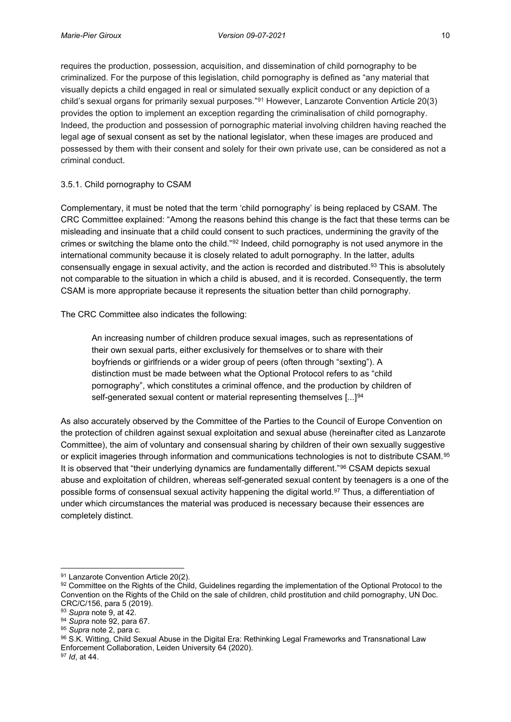requires the production, possession, acquisition, and dissemination of child pornography to be criminalized. For the purpose of this legislation, child pornography is defined as "any material that visually depicts a child engaged in real or simulated sexually explicit conduct or any depiction of a child's sexual organs for primarily sexual purposes."<sup>91</sup> However, Lanzarote Convention Article 20(3) provides the option to implement an exception regarding the criminalisation of child pornography. Indeed, the production and possession of pornographic material involving children having reached the legal age of sexual consent as set by the national legislator, when these images are produced and possessed by them with their consent and solely for their own private use, can be considered as not a criminal conduct.

## <span id="page-19-0"></span>3.5.1. Child pornography to CSAM

Complementary, it must be noted that the term 'child pornography' is being replaced by CSAM. The CRC Committee explained: "Among the reasons behind this change is the fact that these terms can be misleading and insinuate that a child could consent to such practices, undermining the gravity of the crimes or switching the blame onto the child."<sup>92</sup> Indeed, child pornography is not used anymore in the international community because it is closely related to adult pornography. In the latter, adults consensually engage in sexual activity, and the action is recorded and distributed.93 This is absolutely not comparable to the situation in which a child is abused, and it is recorded. Consequently, the term CSAM is more appropriate because it represents the situation better than child pornography.

The CRC Committee also indicates the following:

An increasing number of children produce sexual images, such as representations of their own sexual parts, either exclusively for themselves or to share with their boyfriends or girlfriends or a wider group of peers (often through "sexting"). A distinction must be made between what the Optional Protocol refers to as "child pornography", which constitutes a criminal offence, and the production by children of self-generated sexual content or material representing themselves [...]<sup>94</sup>

As also accurately observed by the Committee of the Parties to the Council of Europe Convention on the protection of children against sexual exploitation and sexual abuse (hereinafter cited as Lanzarote Committee), the aim of voluntary and consensual sharing by children of their own sexually suggestive or explicit imageries through information and communications technologies is not to distribute CSAM.95 It is observed that "their underlying dynamics are fundamentally different."<sup>96</sup> CSAM depicts sexual abuse and exploitation of children, whereas self-generated sexual content by teenagers is a one of the possible forms of consensual sexual activity happening the digital world.<sup>97</sup> Thus, a differentiation of under which circumstances the material was produced is necessary because their essences are completely distinct.

<sup>91</sup> Lanzarote Convention Article 20(2).

<sup>92</sup> Committee on the Rights of the Child, Guidelines regarding the implementation of the Optional Protocol to the Convention on the Rights of the Child on the sale of children, child prostitution and child pornography, UN Doc. CRC/C/156, para 5 (2019).

<sup>93</sup> *Supra* note 9, at 42.

<sup>94</sup> *Supra* note 92, para 67.

<sup>95</sup> *Supra* note 2, para c.

<sup>96</sup> S.K. Witting, Child Sexual Abuse in the Digital Era: Rethinking Legal Frameworks and Transnational Law Enforcement Collaboration, Leiden University 64 (2020). 97 *Id*, at 44.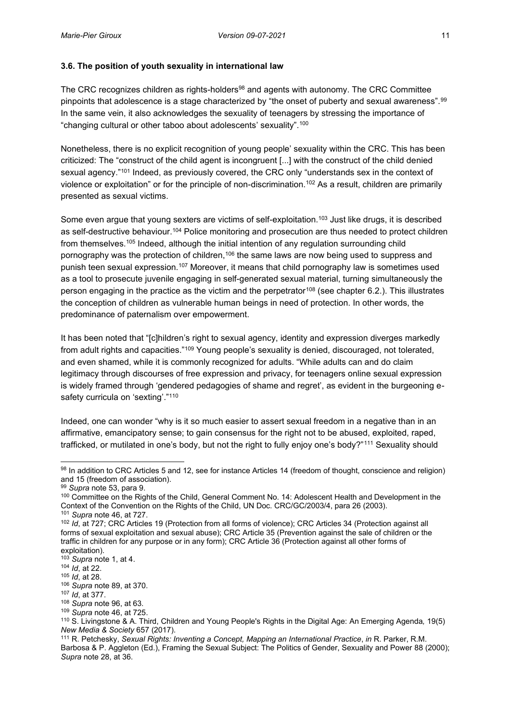## <span id="page-20-0"></span>**3.6. The position of youth sexuality in international law**

The CRC recognizes children as rights-holders<sup>98</sup> and agents with autonomy. The CRC Committee pinpoints that adolescence is a stage characterized by "the onset of puberty and sexual awareness".<sup>99</sup> In the same vein, it also acknowledges the sexuality of teenagers by stressing the importance of "changing cultural or other taboo about adolescents' sexuality".<sup>100</sup>

Nonetheless, there is no explicit recognition of young people' sexuality within the CRC. This has been criticized: The "construct of the child agent is incongruent [...] with the construct of the child denied sexual agency."<sup>101</sup> Indeed, as previously covered, the CRC only "understands sex in the context of violence or exploitation" or for the principle of non-discrimination.102 As a result, children are primarily presented as sexual victims.

Some even argue that young sexters are victims of self-exploitation.<sup>103</sup> Just like drugs, it is described as self-destructive behaviour.<sup>104</sup> Police monitoring and prosecution are thus needed to protect children from themselves.105 Indeed, although the initial intention of any regulation surrounding child pornography was the protection of children,<sup>106</sup> the same laws are now being used to suppress and punish teen sexual expression.107 Moreover, it means that child pornography law is sometimes used as a tool to prosecute juvenile engaging in self-generated sexual material, turning simultaneously the person engaging in the practice as the victim and the perpetrator<sup>108</sup> (see chapter 6.2.). This illustrates the conception of children as vulnerable human beings in need of protection. In other words, the predominance of paternalism over empowerment.

It has been noted that "[c]hildren's right to sexual agency, identity and expression diverges markedly from adult rights and capacities."<sup>109</sup> Young people's sexuality is denied, discouraged, not tolerated, and even shamed, while it is commonly recognized for adults. "While adults can and do claim legitimacy through discourses of free expression and privacy, for teenagers online sexual expression is widely framed through 'gendered pedagogies of shame and regret', as evident in the burgeoning esafety curricula on 'sexting'."110

Indeed, one can wonder "why is it so much easier to assert sexual freedom in a negative than in an affirmative, emancipatory sense; to gain consensus for the right not to be abused, exploited, raped, trafficked, or mutilated in one's body, but not the right to fully enjoy one's body?"<sup>111</sup> Sexuality should

<sup>98</sup> In addition to CRC Articles 5 and 12, see for instance Articles 14 (freedom of thought, conscience and religion) and 15 (freedom of association).

<sup>99</sup> *Supra* note 53, para 9.

<sup>&</sup>lt;sup>100</sup> Committee on the Rights of the Child, General Comment No. 14: Adolescent Health and Development in the Context of the Convention on the Rights of the Child, UN Doc. CRC/GC/2003/4, para 26 (2003). <sup>101</sup> *Supra* note 46, at 727.

<sup>102</sup> *Id*, at 727; CRC Articles 19 (Protection from all forms of violence); CRC Articles 34 (Protection against all forms of sexual exploitation and sexual abuse); CRC Article 35 (Prevention against the sale of children or the traffic in children for any purpose or in any form); CRC Article 36 (Protection against all other forms of exploitation).

<sup>103</sup> *Supra* note 1, at 4.

<sup>104</sup> *Id*, at 22.

<sup>105</sup> *Id*, at 28.

<sup>106</sup> *Supra* note 89, at 370.

<sup>107</sup> *Id*, at 377.

<sup>108</sup> *Supra* note 96, at 63.

<sup>109</sup> *Supra* note 46, at 725.

<sup>110</sup> S. Livingstone & A. Third, Children and Young People's Rights in the Digital Age: An Emerging Agenda*,* 19(5) *New Media & Society* 657 (2017).

<sup>111</sup> R. Petchesky, *Sexual Rights: Inventing a Concept, Mapping an International Practice*, *in* R. Parker, R.M. Barbosa & P. Aggleton (Ed.), Framing the Sexual Subject: The Politics of Gender, Sexuality and Power 88 (2000); *Supra* note 28, at 36.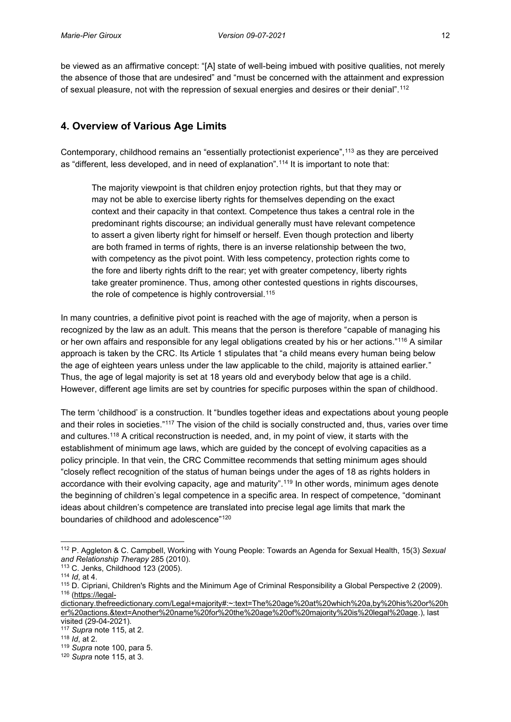be viewed as an affirmative concept: "[A] state of well-being imbued with positive qualities, not merely the absence of those that are undesired" and "must be concerned with the attainment and expression of sexual pleasure, not with the repression of sexual energies and desires or their denial".<sup>112</sup>

# <span id="page-21-0"></span>**4. Overview of Various Age Limits**

Contemporary, childhood remains an "essentially protectionist experience",<sup>113</sup> as they are perceived as "different, less developed, and in need of explanation".<sup>114</sup> It is important to note that:

The majority viewpoint is that children enjoy protection rights, but that they may or may not be able to exercise liberty rights for themselves depending on the exact context and their capacity in that context. Competence thus takes a central role in the predominant rights discourse; an individual generally must have relevant competence to assert a given liberty right for himself or herself. Even though protection and liberty are both framed in terms of rights, there is an inverse relationship between the two, with competency as the pivot point. With less competency, protection rights come to the fore and liberty rights drift to the rear; yet with greater competency, liberty rights take greater prominence. Thus, among other contested questions in rights discourses, the role of competence is highly controversial.<sup>115</sup>

In many countries, a definitive pivot point is reached with the age of majority, when a person is recognized by the law as an adult. This means that the person is therefore "capable of managing his or her own affairs and responsible for any legal obligations created by his or her actions."<sup>116</sup> A similar approach is taken by the CRC. Its Article 1 stipulates that "a child means every human being below the age of eighteen years unless under the law applicable to the child, majority is attained earlier." Thus, the age of legal majority is set at 18 years old and everybody below that age is a child. However, different age limits are set by countries for specific purposes within the span of childhood.

The term 'childhood' is a construction. It "bundles together ideas and expectations about young people and their roles in societies."<sup>117</sup> The vision of the child is socially constructed and, thus, varies over time and cultures.118 A critical reconstruction is needed, and, in my point of view, it starts with the establishment of minimum age laws, which are guided by the concept of evolving capacities as a policy principle. In that vein, the CRC Committee recommends that setting minimum ages should "closely reflect recognition of the status of human beings under the ages of 18 as rights holders in accordance with their evolving capacity, age and maturity".<sup>119</sup> In other words, minimum ages denote the beginning of children's legal competence in a specific area. In respect of competence, "dominant ideas about children's competence are translated into precise legal age limits that mark the boundaries of childhood and adolescence"<sup>120</sup>

<sup>112</sup> P. Aggleton & C. Campbell, Working with Young People: Towards an Agenda for Sexual Health, 15(3) *Sexual and Relationship Therapy* 285 (2010).

<sup>113</sup> C. Jenks, Childhood 123 (2005).

<sup>114</sup> *Id*, at 4.

<sup>115</sup> D. Cipriani, Children's Rights and the Minimum Age of Criminal Responsibility a Global Perspective 2 (2009). <sup>116</sup> [\(https://legal-](https://legal-dictionary.thefreedictionary.com/Legal+majority#:~:text=The%20age%20at%20which%20a,by%20his%20or%20her%20actions.&text=Another%20name%20for%20the%20age%20of%20majority%20is%20legal%20age)

[dictionary.thefreedictionary.com/Legal+majority#:~:text=The%20age%20at%20which%20a,by%20his%20or%20h](https://legal-dictionary.thefreedictionary.com/Legal+majority#:~:text=The%20age%20at%20which%20a,by%20his%20or%20her%20actions.&text=Another%20name%20for%20the%20age%20of%20majority%20is%20legal%20age) [er%20actions.&text=Another%20name%20for%20the%20age%20of%20majority%20is%20legal%20age.](https://legal-dictionary.thefreedictionary.com/Legal+majority#:~:text=The%20age%20at%20which%20a,by%20his%20or%20her%20actions.&text=Another%20name%20for%20the%20age%20of%20majority%20is%20legal%20age)), last

<sup>&</sup>lt;sup>117</sup> Supra note 115, at 2.

<sup>118</sup> *Id*, at 2.

<sup>119</sup> *Supra* note 100, para 5.

<sup>120</sup> *Supra* note 115, at 3.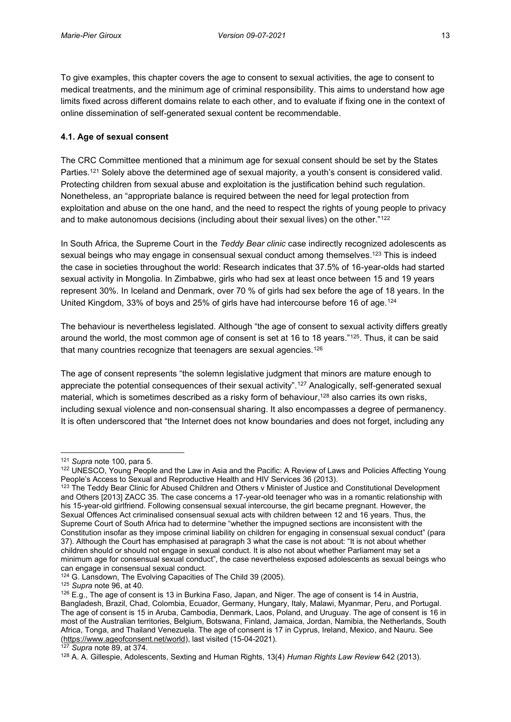To give examples, this chapter covers the age to consent to sexual activities, the age to consent to medical treatments, and the minimum age of criminal responsibility. This aims to understand how age limits fixed across different domains relate to each other, and to evaluate if fixing one in the context of online dissemination of self-generated sexual content be recommendable.

### <span id="page-22-0"></span>**4.1. Age of sexual consent**

The CRC Committee mentioned that a minimum age for sexual consent should be set by the States Parties.<sup>121</sup> Solely above the determined age of sexual majority, a youth's consent is considered valid. Protecting children from sexual abuse and exploitation is the justification behind such regulation. Nonetheless, an "appropriate balance is required between the need for legal protection from exploitation and abuse on the one hand, and the need to respect the rights of young people to privacy and to make autonomous decisions (including about their sexual lives) on the other."<sup>122</sup>

In South Africa, the Supreme Court in the *Teddy Bear clinic* case indirectly recognized adolescents as sexual beings who may engage in consensual sexual conduct among themselves.<sup>123</sup> This is indeed the case in societies throughout the world: Research indicates that 37.5% of 16-year-olds had started sexual activity in Mongolia. In Zimbabwe, girls who had sex at least once between 15 and 19 years represent 30%. In Iceland and Denmark, over 70 % of girls had sex before the age of 18 years. In the United Kingdom, 33% of boys and 25% of girls have had intercourse before 16 of age.<sup>124</sup>

The behaviour is nevertheless legislated. Although "the age of consent to sexual activity differs greatly around the world, the most common age of consent is set at 16 to 18 years."125. Thus, it can be said that many countries recognize that teenagers are sexual agencies.<sup>126</sup>

The age of consent represents "the solemn legislative judgment that minors are mature enough to appreciate the potential consequences of their sexual activity".<sup>127</sup> Analogically, self-generated sexual material, which is sometimes described as a risky form of behaviour,<sup>128</sup> also carries its own risks, including sexual violence and non-consensual sharing. It also encompasses a degree of permanency. It is often underscored that "the Internet does not know boundaries and does not forget, including any

<sup>121</sup> *Supra* note 100, para 5.

<sup>122</sup> UNESCO, Young People and the Law in Asia and the Pacific: A Review of Laws and Policies Affecting Young People's Access to Sexual and Reproductive Health and HIV Services 36 (2013).

<sup>123</sup> The Teddy Bear Clinic for Abused Children and Others v Minister of Justice and Constitutional Development and Others [2013] ZACC 35. The case concerns a 17-year-old teenager who was in a romantic relationship with his 15-year-old girlfriend. Following consensual sexual intercourse, the girl became pregnant. However, the Sexual Offences Act criminalised consensual sexual acts with children between 12 and 16 years. Thus, the Supreme Court of South Africa had to determine "whether the impugned sections are inconsistent with the Constitution insofar as they impose criminal liability on children for engaging in consensual sexual conduct" (para 37). Although the Court has emphasised at paragraph 3 what the case is not about: "It is not about whether children should or should not engage in sexual conduct. It is also not about whether Parliament may set a minimum age for consensual sexual conduct", the case nevertheless exposed adolescents as sexual beings who can engage in consensual sexual conduct.

<sup>&</sup>lt;sup>124</sup> G. Lansdown, The Evolving Capacities of The Child 39 (2005).

<sup>125</sup> *Supra* note 96, at 40.

 $126$  E.g., The age of consent is 13 in Burkina Faso, Japan, and Niger. The age of consent is 14 in Austria, Bangladesh, Brazil, Chad, Colombia, Ecuador, Germany, Hungary, Italy, Malawi, Myanmar, Peru, and Portugal. The age of consent is 15 in Aruba, Cambodia, Denmark, Laos, Poland, and Uruguay. The age of consent is 16 in most of the Australian territories, Belgium, Botswana, Finland, Jamaica, Jordan, Namibia, the Netherlands, South Africa, Tonga, and Thailand Venezuela. The age of consent is 17 in Cyprus, Ireland, Mexico, and Nauru. See [\(https://www.ageofconsent.net/world\)](https://www.ageofconsent.net/world), last visited (15-04-2021). 127 *Supra* note 89, at 374.

<sup>128</sup> A. A. Gillespie, Adolescents, Sexting and Human Rights, 13(4) *Human Rights Law Review* 642 (2013).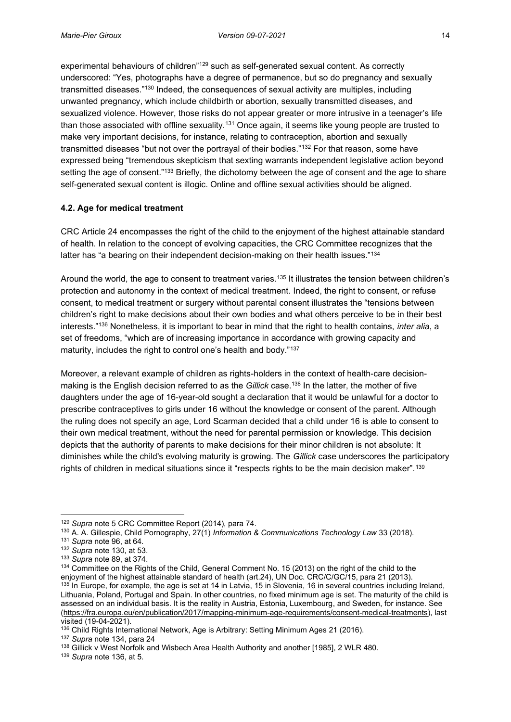experimental behaviours of children"<sup>129</sup> such as self-generated sexual content. As correctly underscored: "Yes, photographs have a degree of permanence, but so do pregnancy and sexually transmitted diseases."<sup>130</sup> Indeed, the consequences of sexual activity are multiples, including unwanted pregnancy, which include childbirth or abortion, sexually transmitted diseases, and sexualized violence. However, those risks do not appear greater or more intrusive in a teenager's life than those associated with offline sexuality.131 Once again, it seems like young people are trusted to make very important decisions, for instance, relating to contraception, abortion and sexually transmitted diseases "but not over the portrayal of their bodies."<sup>132</sup> For that reason, some have expressed being "tremendous skepticism that sexting warrants independent legislative action beyond setting the age of consent."<sup>133</sup> Briefly, the dichotomy between the age of consent and the age to share self-generated sexual content is illogic. Online and offline sexual activities should be aligned.

# <span id="page-23-0"></span>**4.2. Age for medical treatment**

CRC Article 24 encompasses the right of the child to the enjoyment of the highest attainable standard of health. In relation to the concept of evolving capacities, the CRC Committee recognizes that the latter has "a bearing on their independent decision-making on their health issues."<sup>134</sup>

Around the world, the age to consent to treatment varies.135 It illustrates the tension between children's protection and autonomy in the context of medical treatment. Indeed, the right to consent, or refuse consent, to medical treatment or surgery without parental consent illustrates the "tensions between children's right to make decisions about their own bodies and what others perceive to be in their best interests."<sup>136</sup> Nonetheless, it is important to bear in mind that the right to health contains, *inter alia*, a set of freedoms, "which are of increasing importance in accordance with growing capacity and maturity, includes the right to control one's health and body."137

Moreover, a relevant example of children as rights-holders in the context of health-care decisionmaking is the English decision referred to as the *Gillick* case.138 In the latter, the mother of five daughters under the age of 16-year-old sought a declaration that it would be unlawful for a doctor to prescribe contraceptives to girls under 16 without the knowledge or consent of the parent. Although the ruling does not specify an age, Lord Scarman decided that a child under 16 is able to consent to their own medical treatment, without the need for parental permission or knowledge. This decision depicts that the authority of parents to make decisions for their minor children is not absolute: It diminishes while the child's evolving maturity is growing. The *Gillick* case underscores the participatory rights of children in medical situations since it "respects rights to be the main decision maker".<sup>139</sup>

<sup>129</sup> *Supra* note 5 CRC Committee Report (2014), para 74.

<sup>130</sup> A. A. Gillespie, Child Pornography, 27(1) *Information & Communications Technology Law* 33 (2018).

<sup>131</sup> *Supra* note 96, at 64.

<sup>132</sup> *Supra* note 130, at 53.

<sup>133</sup> *Supra* note 89, at 374.

<sup>&</sup>lt;sup>134</sup> Committee on the Rights of the Child, General Comment No. 15 (2013) on the right of the child to the enjoyment of the highest attainable standard of health (art.24), UN Doc. CRC/C/GC/15, para 21 (2013). 135 In Europe, for example, the age is set at 14 in Latvia, 15 in Slovenia, 16 in several countries including Ireland, Lithuania, Poland, Portugal and Spain. In other countries, no fixed minimum age is set. The maturity of the child is assessed on an individual basis. It is the reality in Austria, Estonia, Luxembourg, and Sweden, for instance. See [\(https://fra.europa.eu/en/publication/2017/mapping-minimum-age-requirements/consent-medical-treatments\)](https://fra.europa.eu/en/publication/2017/mapping-minimum-age-requirements/consent-medical-treatments), last visited (19-04-2021).

<sup>136</sup> Child Rights International Network, Age is Arbitrary: Setting Minimum Ages 21 (2016).

<sup>137</sup> *Supra* note 134, para 24

<sup>138</sup> Gillick v West Norfolk and Wisbech Area Health Authority and another [1985], 2 WLR 480.

<sup>139</sup> *Supra* note 136, at 5.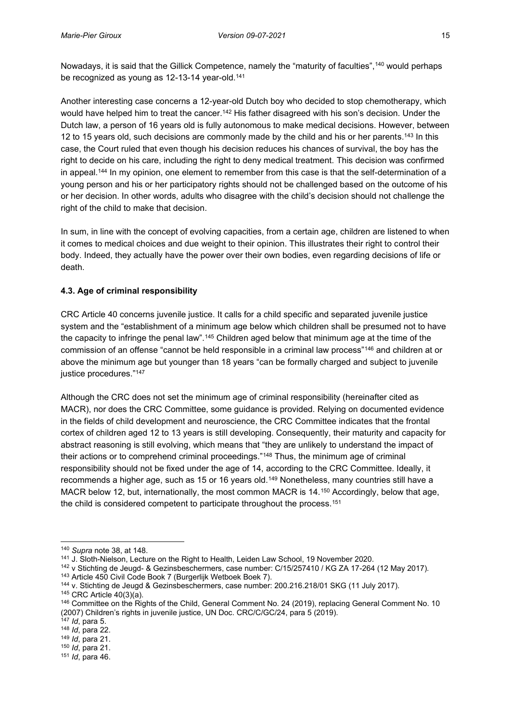Nowadays, it is said that the Gillick Competence, namely the "maturity of faculties",<sup>140</sup> would perhaps be recognized as young as 12-13-14 year-old.<sup>141</sup>

Another interesting case concerns a 12-year-old Dutch boy who decided to stop chemotherapy, which would have helped him to treat the cancer.<sup>142</sup> His father disagreed with his son's decision. Under the Dutch law, a person of 16 years old is fully autonomous to make medical decisions. However, between 12 to 15 years old, such decisions are commonly made by the child and his or her parents.143 In this case, the Court ruled that even though his decision reduces his chances of survival, the boy has the right to decide on his care, including the right to deny medical treatment. This decision was confirmed in appeal.<sup>144</sup> In my opinion, one element to remember from this case is that the self-determination of a young person and his or her participatory rights should not be challenged based on the outcome of his or her decision. In other words, adults who disagree with the child's decision should not challenge the right of the child to make that decision.

In sum, in line with the concept of evolving capacities, from a certain age, children are listened to when it comes to medical choices and due weight to their opinion. This illustrates their right to control their body. Indeed, they actually have the power over their own bodies, even regarding decisions of life or death.

# <span id="page-24-0"></span>**4.3. Age of criminal responsibility**

CRC Article 40 concerns juvenile justice. It calls for a child specific and separated juvenile justice system and the "establishment of a minimum age below which children shall be presumed not to have the capacity to infringe the penal law".<sup>145</sup> Children aged below that minimum age at the time of the commission of an offense "cannot be held responsible in a criminal law process"<sup>146</sup> and children at or above the minimum age but younger than 18 years "can be formally charged and subject to juvenile justice procedures."<sup>147</sup>

Although the CRC does not set the minimum age of criminal responsibility (hereinafter cited as MACR), nor does the CRC Committee, some guidance is provided. Relying on documented evidence in the fields of child development and neuroscience, the CRC Committee indicates that the frontal cortex of children aged 12 to 13 years is still developing. Consequently, their maturity and capacity for abstract reasoning is still evolving, which means that "they are unlikely to understand the impact of their actions or to comprehend criminal proceedings."<sup>148</sup> Thus, the minimum age of criminal responsibility should not be fixed under the age of 14, according to the CRC Committee. Ideally, it recommends a higher age, such as 15 or 16 years old.149 Nonetheless, many countries still have a MACR below 12, but, internationally, the most common MACR is 14.150 Accordingly, below that age, the child is considered competent to participate throughout the process.<sup>151</sup>

<sup>147</sup> *Id*, para 5.

<sup>150</sup> *Id*, para 21.

<sup>140</sup> *Supra* note 38, at 148.

<sup>141</sup> J. Sloth-Nielson, Lecture on the Right to Health, Leiden Law School, 19 November 2020.

<sup>&</sup>lt;sup>142</sup> v Stichting de Jeugd- & Gezinsbeschermers, case number: C/15/257410 / KG ZA 17-264 (12 May 2017).<br><sup>143</sup> Article 450 Civil Code Book 7 [\(Burgerlijk Wetboek Boek 7\)](http://wetten.overheid.nl/cgi-bin/deeplink/law1/bwbid=BWBR0005290/article=450).<br><sup>144</sup> v. Stichting de Jeugd & Gezinsbeschermers, cas

<sup>&</sup>lt;sup>145</sup> CRC Article 40(3)(a).<br><sup>146</sup> Committee on the Rights of the Child, General Comment No. 24 (2019), replacing General Comment No. 10 (2007) Children's rights in juvenile justice, UN Doc. CRC/C/GC/24, para 5 (2019).

<sup>148</sup> *Id*, para 22.

<sup>149</sup> *Id*, para 21.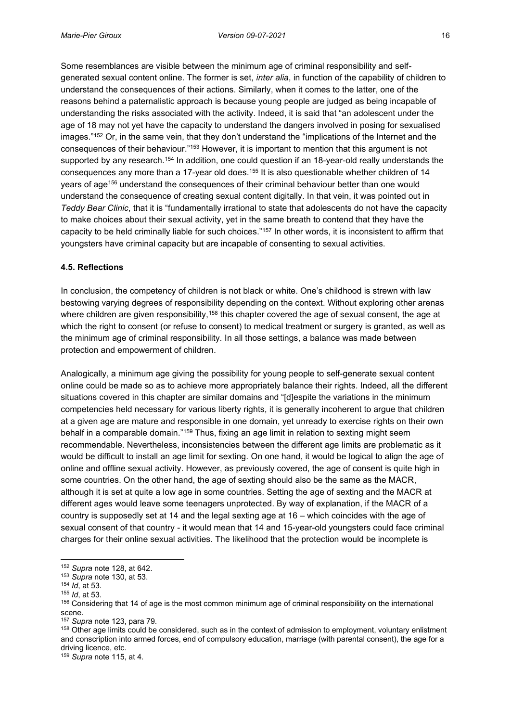Some resemblances are visible between the minimum age of criminal responsibility and selfgenerated sexual content online. The former is set, *inter alia*, in function of the capability of children to understand the consequences of their actions. Similarly, when it comes to the latter, one of the reasons behind a paternalistic approach is because young people are judged as being incapable of understanding the risks associated with the activity. Indeed, it is said that "an adolescent under the age of 18 may not yet have the capacity to understand the dangers involved in posing for sexualised images."<sup>152</sup> Or, in the same vein, that they don't understand the "implications of the Internet and the consequences of their behaviour."<sup>153</sup> However, it is important to mention that this argument is not supported by any research.<sup>154</sup> In addition, one could question if an 18-year-old really understands the consequences any more than a 17-year old does.<sup>155</sup> It is also questionable whether children of 14 years of age156 understand the consequences of their criminal behaviour better than one would understand the consequence of creating sexual content digitally. In that vein, it was pointed out in *Teddy Bear Clinic*, that it is "fundamentally irrational to state that adolescents do not have the capacity to make choices about their sexual activity, yet in the same breath to contend that they have the capacity to be held criminally liable for such choices."<sup>157</sup> In other words, it is inconsistent to affirm that youngsters have criminal capacity but are incapable of consenting to sexual activities.

#### <span id="page-25-0"></span>**4.5. Reflections**

In conclusion, the competency of children is not black or white. One's childhood is strewn with law bestowing varying degrees of responsibility depending on the context. Without exploring other arenas where children are given responsibility,<sup>158</sup> this chapter covered the age of sexual consent, the age at which the right to consent (or refuse to consent) to medical treatment or surgery is granted, as well as the minimum age of criminal responsibility. In all those settings, a balance was made between protection and empowerment of children.

Analogically, a minimum age giving the possibility for young people to self-generate sexual content online could be made so as to achieve more appropriately balance their rights. Indeed, all the different situations covered in this chapter are similar domains and "[d]espite the variations in the minimum competencies held necessary for various liberty rights, it is generally incoherent to argue that children at a given age are mature and responsible in one domain, yet unready to exercise rights on their own behalf in a comparable domain."<sup>159</sup> Thus, fixing an age limit in relation to sexting might seem recommendable. Nevertheless, inconsistencies between the different age limits are problematic as it would be difficult to install an age limit for sexting. On one hand, it would be logical to align the age of online and offline sexual activity. However, as previously covered, the age of consent is quite high in some countries. On the other hand, the age of sexting should also be the same as the MACR, although it is set at quite a low age in some countries. Setting the age of sexting and the MACR at different ages would leave some teenagers unprotected. By way of explanation, if the MACR of a country is supposedly set at 14 and the legal sexting age at 16 – which coincides with the age of sexual consent of that country - it would mean that 14 and 15-year-old youngsters could face criminal charges for their online sexual activities. The likelihood that the protection would be incomplete is

<sup>152</sup> *Supra* note 128, at 642.

<sup>153</sup> *Supra* note 130, at 53.

<sup>154</sup> *Id*, at 53.

<sup>155</sup> *Id*, at 53.

<sup>156</sup> Considering that 14 of age is the most common minimum age of criminal responsibility on the international scene.

<sup>157</sup> *Supra* note 123, para 79.

<sup>158</sup> Other age limits could be considered, such as in the context of admission to employment, voluntary enlistment and conscription into armed forces, end of compulsory education, marriage (with parental consent), the age for a driving licence, etc.

<sup>159</sup> *Supra* note 115, at 4.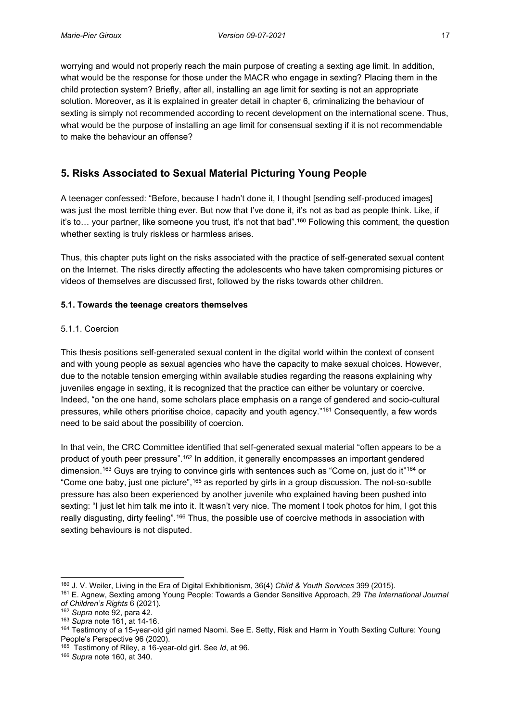worrying and would not properly reach the main purpose of creating a sexting age limit. In addition, what would be the response for those under the MACR who engage in sexting? Placing them in the child protection system? Briefly, after all, installing an age limit for sexting is not an appropriate solution. Moreover, as it is explained in greater detail in chapter 6, criminalizing the behaviour of sexting is simply not recommended according to recent development on the international scene. Thus, what would be the purpose of installing an age limit for consensual sexting if it is not recommendable to make the behaviour an offense?

# <span id="page-26-0"></span>**5. Risks Associated to Sexual Material Picturing Young People**

A teenager confessed: "Before, because I hadn't done it, I thought [sending self-produced images] was just the most terrible thing ever. But now that I've done it, it's not as bad as people think. Like, if it's to... your partner, like someone you trust, it's not that bad".<sup>160</sup> Following this comment, the question whether sexting is truly riskless or harmless arises.

Thus, this chapter puts light on the risks associated with the practice of self-generated sexual content on the Internet. The risks directly affecting the adolescents who have taken compromising pictures or videos of themselves are discussed first, followed by the risks towards other children.

# <span id="page-26-1"></span>**5.1. Towards the teenage creators themselves**

## <span id="page-26-2"></span>5.1.1. Coercion

This thesis positions self-generated sexual content in the digital world within the context of consent and with young people as sexual agencies who have the capacity to make sexual choices. However, due to the notable tension emerging within available studies regarding the reasons explaining why juveniles engage in sexting, it is recognized that the practice can either be voluntary or coercive. Indeed, "on the one hand, some scholars place emphasis on a range of gendered and socio-cultural pressures, while others prioritise choice, capacity and youth agency."<sup>161</sup> Consequently, a few words need to be said about the possibility of coercion.

In that vein, the CRC Committee identified that self-generated sexual material "often appears to be a product of youth peer pressure".<sup>162</sup> In addition, it generally encompasses an important gendered dimension.<sup>163</sup> Guys are trying to convince girls with sentences such as "Come on, just do it"<sup>164</sup> or "Come one baby, just one picture",<sup>165</sup> as reported by girls in a group discussion. The not-so-subtle pressure has also been experienced by another juvenile who explained having been pushed into sexting: "I just let him talk me into it. It wasn't very nice. The moment I took photos for him, I got this really disgusting, dirty feeling".<sup>166</sup> Thus, the possible use of coercive methods in association with sexting behaviours is not disputed.

<sup>160</sup> J. V. Weiler, Living in the Era of Digital Exhibitionism, 36(4) *Child & Youth Services* 399 (2015).

<sup>161</sup> E. Agnew, Sexting among Young People: Towards a Gender Sensitive Approach, 29 *The International Journal of Children's Rights* 6 (2021). 162 *Supra* note 92, para 42.

<sup>163</sup> *Supra* note 161, at 14-16.

<sup>164</sup> Testimony of a 15-year-old girl named Naomi. See E. Setty, Risk and Harm in Youth Sexting Culture: Young People's Perspective 96 (2020).

<sup>165</sup> Testimony of Riley, a 16-year-old girl. See *Id*, at 96. 166 *Supra* note 160, at 340.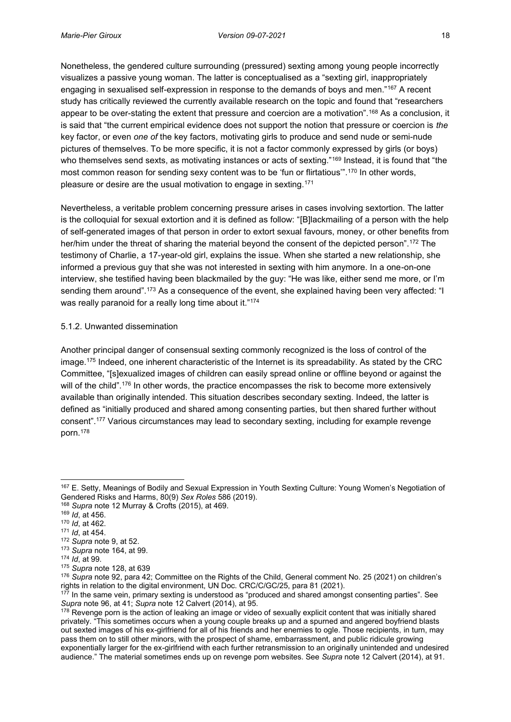Nonetheless, the gendered culture surrounding (pressured) sexting among young people incorrectly visualizes a passive young woman. The latter is conceptualised as a "sexting girl, inappropriately engaging in sexualised self-expression in response to the demands of boys and men."<sup>167</sup> A recent study has critically reviewed the currently available research on the topic and found that "researchers appear to be over-stating the extent that pressure and coercion are a motivation".<sup>168</sup> As a conclusion, it is said that "the current empirical evidence does not support the notion that pressure or coercion is *the*  key factor, or even *one of* the key factors, motivating girls to produce and send nude or semi-nude pictures of themselves. To be more specific, it is not a factor commonly expressed by girls (or boys) who themselves send sexts, as motivating instances or acts of sexting."<sup>169</sup> Instead, it is found that "the most common reason for sending sexy content was to be 'fun or flirtatious".<sup>170</sup> In other words, pleasure or desire are the usual motivation to engage in sexting.171

Nevertheless, a veritable problem concerning pressure arises in cases involving sextortion. The latter is the colloquial for sexual extortion and it is defined as follow: "[B]lackmailing of a person with the help of self-generated images of that person in order to extort sexual favours, money, or other benefits from her/him under the threat of sharing the material beyond the consent of the depicted person".<sup>172</sup> The testimony of Charlie, a 17-year-old girl, explains the issue. When she started a new relationship, she informed a previous guy that she was not interested in sexting with him anymore. In a one-on-one interview, she testified having been blackmailed by the guy: "He was like, either send me more, or I'm sending them around".<sup>173</sup> As a consequence of the event, she explained having been very affected: "I was really paranoid for a really long time about it."174

### <span id="page-27-0"></span>5.1.2. Unwanted dissemination

Another principal danger of consensual sexting commonly recognized is the loss of control of the image.175 Indeed, one inherent characteristic of the Internet is its spreadability. As stated by the CRC Committee, "[s]exualized images of children can easily spread online or offline beyond or against the will of the child".<sup>176</sup> In other words, the practice encompasses the risk to become more extensively available than originally intended. This situation describes secondary sexting. Indeed, the latter is defined as "initially produced and shared among consenting parties, but then shared further without consent".<sup>177</sup> Various circumstances may lead to secondary sexting, including for example revenge porn.178

<sup>167</sup> E. Setty, Meanings of Bodily and Sexual Expression in Youth Sexting Culture: Young Women's Negotiation of Gendered Risks and Harms, 80(9) *Sex Roles* 586 (2019).

<sup>168</sup> *Supra* note 12 Murray & Crofts (2015), at 469.

<sup>169</sup> *Id*, at 456.

<sup>170</sup> *Id*, at 462.

<sup>171</sup> *Id*, at 454.

<sup>172</sup> *Supra* note 9, at 52. <sup>173</sup> *Supra* note 164, at 99.

<sup>174</sup> *Id*, at 99.

<sup>175</sup> *Supra* note 128, at 639

<sup>&</sup>lt;sup>176</sup> Supra note 92, para 42; Committee on the Rights of the Child, General comment No. 25 (2021) on children's rights in relation to the digital environment, UN Doc. CRC/C/GC/25, para 81 (2021).

 $177$  In the same vein, primary sexting is understood as "produced and shared amongst consenting parties". See *Supra* note 96, at 41; *Supra* note 12 Calvert (2014), at 95.

<sup>&</sup>lt;sup>178</sup> Revenge porn is the action of leaking an image or video of sexually explicit content that was initially shared privately. "This sometimes occurs when a young couple breaks up and a spurned and angered boyfriend blasts out sexted images of his ex-girlfriend for all of his friends and her enemies to ogle. Those recipients, in turn, may pass them on to still other minors, with the prospect of shame, embarrassment, and public ridicule growing exponentially larger for the ex-girlfriend with each further retransmission to an originally unintended and undesired audience." The material sometimes ends up on revenge porn websites. See *Supra* note 12 Calvert (2014), at 91.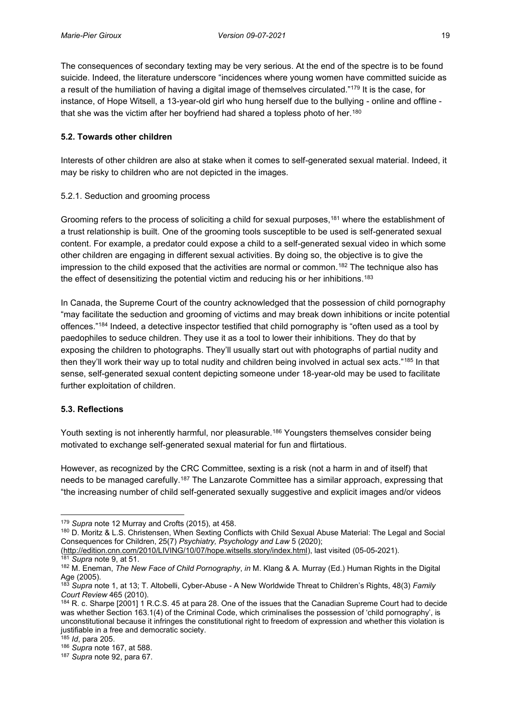The consequences of secondary texting may be very serious. At the end of the spectre is to be found suicide. Indeed, the literature underscore "incidences where young women have committed suicide as a result of the humiliation of having a digital image of themselves circulated."<sup>179</sup> It is the case, for instance, of Hope Witsell, a 13-year-old girl who hung herself due to the bullying - online and offline that she was the victim after her boyfriend had shared a topless photo of her.180

## <span id="page-28-0"></span>**5.2. Towards other children**

Interests of other children are also at stake when it comes to self-generated sexual material. Indeed, it may be risky to children who are not depicted in the images.

## <span id="page-28-1"></span>5.2.1. Seduction and grooming process

Grooming refers to the process of soliciting a child for sexual purposes,<sup>181</sup> where the establishment of a trust relationship is built. One of the grooming tools susceptible to be used is self-generated sexual content. For example, a predator could expose a child to a self-generated sexual video in which some other children are engaging in different sexual activities. By doing so, the objective is to give the impression to the child exposed that the activities are normal or common.<sup>182</sup> The technique also has the effect of desensitizing the potential victim and reducing his or her inhibitions.183

In Canada, the Supreme Court of the country acknowledged that the possession of child pornography "may facilitate the seduction and grooming of victims and may break down inhibitions or incite potential offences."<sup>184</sup> Indeed, a detective inspector testified that child pornography is "often used as a tool by paedophiles to seduce children. They use it as a tool to lower their inhibitions. They do that by exposing the children to photographs. They'll usually start out with photographs of partial nudity and then they'll work their way up to total nudity and children being involved in actual sex acts."<sup>185</sup> In that sense, self-generated sexual content depicting someone under 18-year-old may be used to facilitate further exploitation of children.

### <span id="page-28-2"></span>**5.3. Reflections**

Youth sexting is not inherently harmful, nor pleasurable.<sup>186</sup> Youngsters themselves consider being motivated to exchange self-generated sexual material for fun and flirtatious.

However, as recognized by the CRC Committee, sexting is a risk (not a harm in and of itself) that needs to be managed carefully.<sup>187</sup> The Lanzarote Committee has a similar approach, expressing that "the increasing number of child self-generated sexually suggestive and explicit images and/or videos

[\(http://edition.cnn.com/2010/LIVING/10/07/hope.witsells.story/index.html\)](http://edition.cnn.com/2010/LIVING/10/07/hope.witsells.story/index.html), last visited (05-05-2021). <sup>181</sup> *Supra* note 9, at 51.

<sup>179</sup> *Supra* note 12 Murray and Crofts (2015), at 458.

<sup>180</sup> D. Moritz & L.S. Christensen, When Sexting Conflicts with Child Sexual Abuse Material: The Legal and Social Consequences for Children, 25(7) *Psychiatry, Psychology and Law* 5 (2020);

<sup>182</sup> M. Eneman, *The New Face of Child Pornography*, *in* M. Klang & A. Murray (Ed.) Human Rights in the Digital Age (2005).

<sup>183</sup> *Supra* note 1, at 13; T. Altobelli, Cyber-Abuse - A New Worldwide Threat to Children's Rights, 48(3) *Family Court Review* 465 (2010).

<sup>184</sup> R. c. Sharpe [2001] 1 R.C.S. 45 at para 28. One of the issues that the Canadian Supreme Court had to decide was whether Section 163.1(4) of the Criminal Code, which criminalises the possession of 'child pornography', is unconstitutional because it infringes the constitutional right to freedom of expression and whether this violation is justifiable in a free and democratic society.

<sup>185</sup> *Id*, para 205.

<sup>186</sup> *Supra* note 167, at 588.

<sup>187</sup> *Supra* note 92, para 67.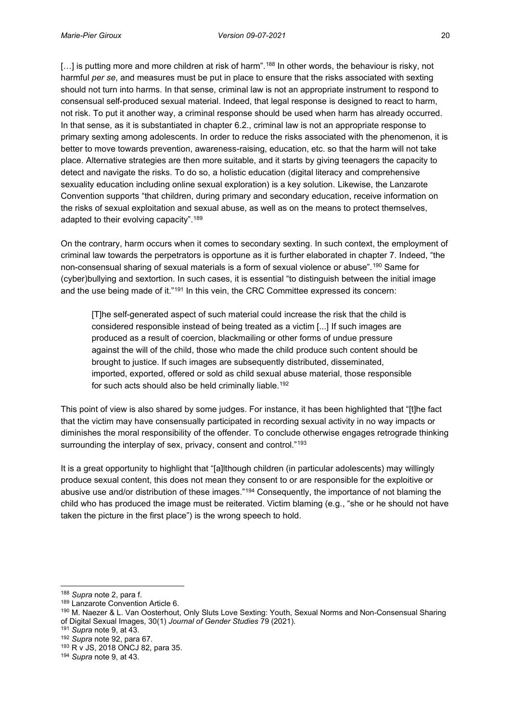[...] is putting more and more children at risk of harm".<sup>188</sup> In other words, the behaviour is risky, not harmful *per se*, and measures must be put in place to ensure that the risks associated with sexting should not turn into harms. In that sense, criminal law is not an appropriate instrument to respond to consensual self-produced sexual material. Indeed, that legal response is designed to react to harm, not risk. To put it another way, a criminal response should be used when harm has already occurred. In that sense, as it is substantiated in chapter 6.2., criminal law is not an appropriate response to primary sexting among adolescents. In order to reduce the risks associated with the phenomenon, it is better to move towards prevention, awareness-raising, education, etc. so that the harm will not take place. Alternative strategies are then more suitable, and it starts by giving teenagers the capacity to detect and navigate the risks. To do so, a holistic education (digital literacy and comprehensive sexuality education including online sexual exploration) is a key solution. Likewise, the Lanzarote Convention supports "that children, during primary and secondary education, receive information on the risks of sexual exploitation and sexual abuse, as well as on the means to protect themselves, adapted to their evolving capacity".<sup>189</sup>

On the contrary, harm occurs when it comes to secondary sexting. In such context, the employment of criminal law towards the perpetrators is opportune as it is further elaborated in chapter 7. Indeed, "the non-consensual sharing of sexual materials is a form of sexual violence or abuse".<sup>190</sup> Same for (cyber)bullying and sextortion. In such cases, it is essential "to distinguish between the initial image and the use being made of it."<sup>191</sup> In this vein, the CRC Committee expressed its concern:

[T]he self-generated aspect of such material could increase the risk that the child is considered responsible instead of being treated as a victim [...] If such images are produced as a result of coercion, blackmailing or other forms of undue pressure against the will of the child, those who made the child produce such content should be brought to justice. If such images are subsequently distributed, disseminated, imported, exported, offered or sold as child sexual abuse material, those responsible for such acts should also be held criminally liable.192

This point of view is also shared by some judges. For instance, it has been highlighted that "[t]he fact that the victim may have consensually participated in recording sexual activity in no way impacts or diminishes the moral responsibility of the offender. To conclude otherwise engages retrograde thinking surrounding the interplay of sex, privacy, consent and control."<sup>193</sup>

It is a great opportunity to highlight that "[a]lthough children (in particular adolescents) may willingly produce sexual content, this does not mean they consent to or are responsible for the exploitive or abusive use and/or distribution of these images."<sup>194</sup> Consequently, the importance of not blaming the child who has produced the image must be reiterated. Victim blaming (e.g., "she or he should not have taken the picture in the first place") is the wrong speech to hold.

<sup>188</sup> *Supra* note 2, para f.

<sup>189</sup> Lanzarote Convention Article 6.

<sup>190</sup> M. Naezer & L. Van Oosterhout, Only Sluts Love Sexting: Youth, Sexual Norms and Non-Consensual Sharing of Digital Sexual Images, 30(1) *Journal of Gender Studies* 79 (2021).

<sup>191</sup> *Supra* note 9, at 43.

<sup>192</sup> *Supra* note 92, para 67.

<sup>193</sup> R v JS, 2018 ONCJ 82, para 35.

<sup>194</sup> *Supra* note 9, at 43.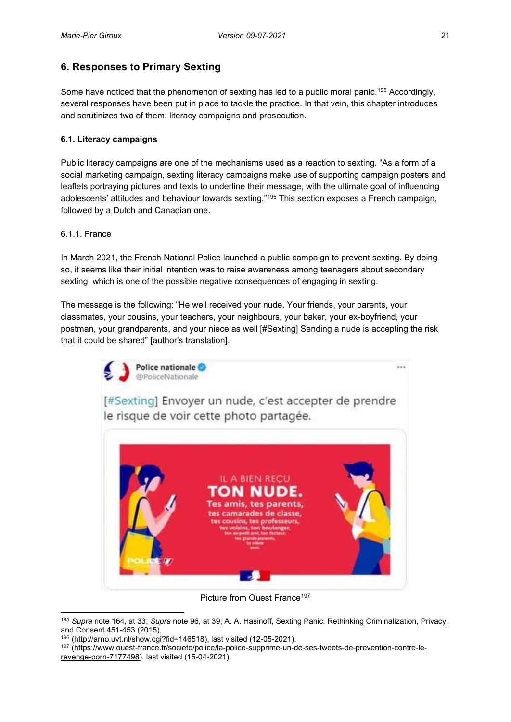# <span id="page-30-0"></span>**6. Responses to Primary Sexting**

Some have noticed that the phenomenon of sexting has led to a public moral panic.<sup>195</sup> Accordingly, several responses have been put in place to tackle the practice. In that vein, this chapter introduces and scrutinizes two of them: literacy campaigns and prosecution.

## <span id="page-30-1"></span>**6.1. Literacy campaigns**

Public literacy campaigns are one of the mechanisms used as a reaction to sexting. "As a form of a social marketing campaign, sexting literacy campaigns make use of supporting campaign posters and leaflets portraying pictures and texts to underline their message, with the ultimate goal of influencing adolescents' attitudes and behaviour towards sexting."<sup>196</sup> This section exposes a French campaign, followed by a Dutch and Canadian one.

### <span id="page-30-2"></span>6.1.1. France

In March 2021, the French National Police launched a public campaign to prevent sexting. By doing so, it seems like their initial intention was to raise awareness among teenagers about secondary sexting, which is one of the possible negative consequences of engaging in sexting.

The message is the following: "He well received your nude. Your friends, your parents, your classmates, your cousins, your teachers, your neighbours, your baker, your ex-boyfriend, your postman, your grandparents, and your niece as well [#Sexting] Sending a nude is accepting the risk that it could be shared" [author's translation].



Picture from Ouest France<sup>197</sup>

<sup>195</sup> *Supra* note 164, at 33; *Supra* note 96, at 39; A. A. Hasinoff, Sexting Panic: Rethinking Criminalization, Privacy,

and Consent 451-453 (2015).<br><sup>196</sup> [\(http://arno.uvt.nl/show.cgi?fid=146518\)](http://arno.uvt.nl/show.cgi?fid=146518), last visited (12-05-2021).

<sup>197</sup> [\(https://www.ouest-france.fr/societe/police/la-police-supprime-un-de-ses-tweets-de-prevention-contre-le](https://www.ouest-france.fr/societe/police/la-police-supprime-un-de-ses-tweets-de-prevention-contre-le-revenge-porn-7177498)[revenge-porn-7177498\)](https://www.ouest-france.fr/societe/police/la-police-supprime-un-de-ses-tweets-de-prevention-contre-le-revenge-porn-7177498), last visited (15-04-2021).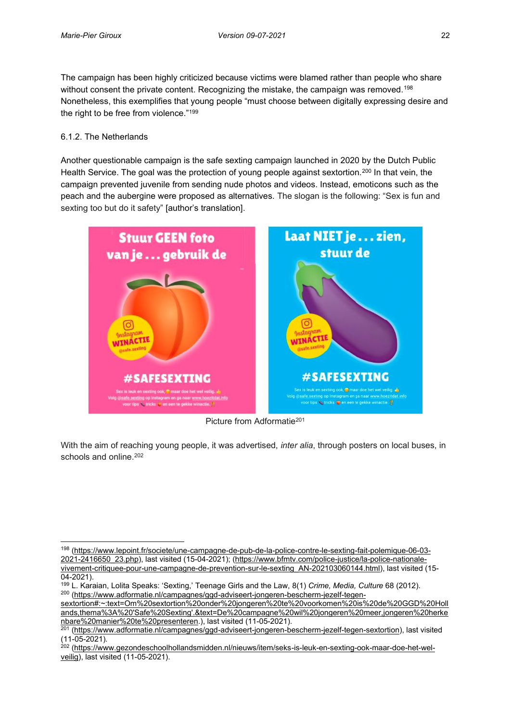The campaign has been highly criticized because victims were blamed rather than people who share without consent the private content. Recognizing the mistake, the campaign was removed.<sup>198</sup> Nonetheless, this exemplifies that young people "must choose between digitally expressing desire and the right to be free from violence."<sup>199</sup>

### <span id="page-31-0"></span>6.1.2. The Netherlands

Another questionable campaign is the safe sexting campaign launched in 2020 by the Dutch Public Health Service. The goal was the protection of young people against sextortion.<sup>200</sup> In that vein, the campaign prevented juvenile from sending nude photos and videos. Instead, emoticons such as the peach and the aubergine were proposed as alternatives. The slogan is the following: "Sex is fun and sexting too but do it safety" [author's translation].



Picture from Adformatie201

With the aim of reaching young people, it was advertised, *inter alia*, through posters on local buses, in schools and online.<sup>202</sup>

<sup>198</sup> [\(https://www.lepoint.fr/societe/une-campagne-de-pub-de-la-police-contre-le-sexting-fait-polemique-06-03-](https://www.lepoint.fr/societe/une-campagne-de-pub-de-la-police-contre-le-sexting-fait-polemique-06-03-2021-2416650_23.php) [2021-2416650\\_23.php\)](https://www.lepoint.fr/societe/une-campagne-de-pub-de-la-police-contre-le-sexting-fait-polemique-06-03-2021-2416650_23.php), last visited (15-04-2021); [\(https://www.bfmtv.com/police-justice/la-police-nationale](https://www.bfmtv.com/police-justice/la-police-nationale-vivement-critiquee-pour-une-campagne-de-prevention-sur-le-sexting_AN-202103060144.html)[vivement-critiquee-pour-une-campagne-de-prevention-sur-le-sexting\\_AN-202103060144.html\)](https://www.bfmtv.com/police-justice/la-police-nationale-vivement-critiquee-pour-une-campagne-de-prevention-sur-le-sexting_AN-202103060144.html), last visited (15-

<sup>04-2021).&</sup>lt;br><sup>199</sup> L. Karaian, Lolita Speaks: 'Sexting,' Teenage Girls and the Law, 8(1) *Crime, Media, Culture* 68 (2012). <sup>200</sup> [\(https://www.adformatie.nl/campagnes/ggd-adviseert-jongeren-bescherm-jezelf-tegen-](https://www.adformatie.nl/campagnes/ggd-adviseert-jongeren-bescherm-jezelf-tegen-sextortion#:~:text=Om%20sextortion%20onder%20jongeren%20te%20voorkomen%20is%20de%20GGD%20Hollands,thema%3A%20)

[sextortion#:~:text=Om%20sextortion%20onder%20jongeren%20te%20voorkomen%20is%20de%20GGD%20Holl](https://www.adformatie.nl/campagnes/ggd-adviseert-jongeren-bescherm-jezelf-tegen-sextortion#:~:text=Om%20sextortion%20onder%20jongeren%20te%20voorkomen%20is%20de%20GGD%20Hollands,thema%3A%20) [ands,thema%3A%20'Safe%20Sexting'.&text=De%20campagne%20wil%20jongeren%20meer,jongeren%20herke](https://www.adformatie.nl/campagnes/ggd-adviseert-jongeren-bescherm-jezelf-tegen-sextortion#:~:text=Om%20sextortion%20onder%20jongeren%20te%20voorkomen%20is%20de%20GGD%20Hollands,thema%3A%20) [nbare%20manier%20te%20presenteren.](https://www.adformatie.nl/campagnes/ggd-adviseert-jongeren-bescherm-jezelf-tegen-sextortion#:~:text=Om%20sextortion%20onder%20jongeren%20te%20voorkomen%20is%20de%20GGD%20Hollands,thema%3A%20)), last visited (11-05-2021). 201 [\(https://www.adformatie.nl/campagnes/ggd-adviseert-jongeren-bescherm-jezelf-tegen-sextortion\)](https://www.adformatie.nl/campagnes/ggd-adviseert-jongeren-bescherm-jezelf-tegen-sextortion), last visited

<sup>(11-05-2021).</sup>

<sup>&</sup>lt;sup>202</sup> [\(https://www.gezondeschoolhollandsmidden.nl/nieuws/item/seks-is-leuk-en-sexting-ook-maar-doe-het-wel](https://www.gezondeschoolhollandsmidden.nl/nieuws/item/seks-is-leuk-en-sexting-ook-maar-doe-het-wel-veilig)[veilig\)](https://www.gezondeschoolhollandsmidden.nl/nieuws/item/seks-is-leuk-en-sexting-ook-maar-doe-het-wel-veilig), last visited (11-05-2021).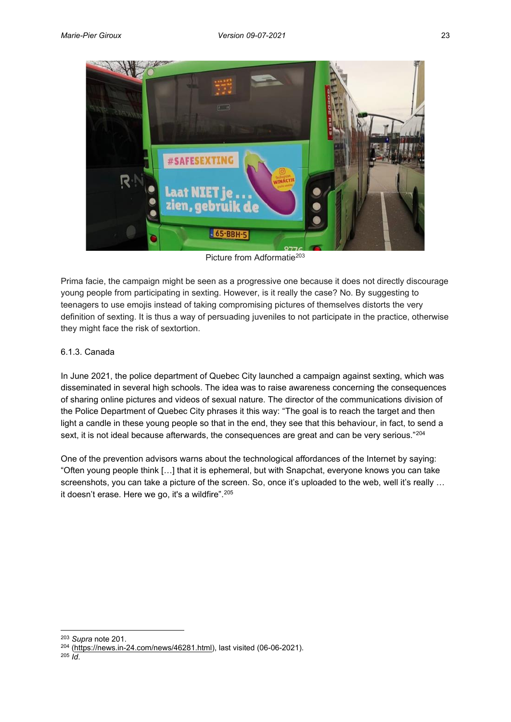

Picture from Adformatie<sup>203</sup>

Prima facie, the campaign might be seen as a progressive one because it does not directly discourage young people from participating in sexting. However, is it really the case? No. By suggesting to teenagers to use emojis instead of taking compromising pictures of themselves distorts the very definition of sexting. It is thus a way of persuading juveniles to not participate in the practice, otherwise they might face the risk of sextortion.

# <span id="page-32-0"></span>6.1.3. Canada

In June 2021, the police department of Quebec City launched a campaign against sexting, which was disseminated in several high schools. The idea was to raise awareness concerning the consequences of sharing online pictures and videos of sexual nature. The director of the communications division of the Police Department of Quebec City phrases it this way: "The goal is to reach the target and then light a candle in these young people so that in the end, they see that this behaviour, in fact, to send a sext, it is not ideal because afterwards, the consequences are great and can be very serious."<sup>204</sup>

One of the prevention advisors warns about the technological affordances of the Internet by saying: "Often young people think […] that it is ephemeral, but with Snapchat, everyone knows you can take screenshots, you can take a picture of the screen. So, once it's uploaded to the web, well it's really ... it doesn't erase. Here we go, it's a wildfire".<sup>205</sup>

<sup>203</sup> *Supra* note 201.

<sup>204</sup> [\(https://news.in-24.com/news/46281.html\)](https://news.in-24.com/news/46281.html), last visited (06-06-2021).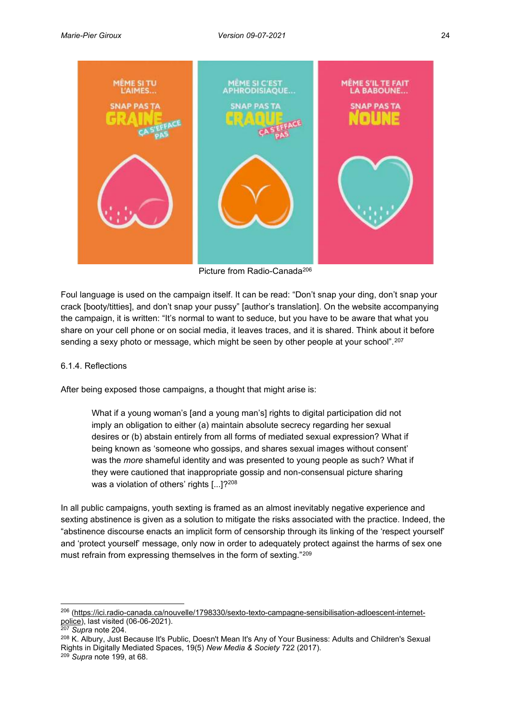

Picture from Radio-Canada206

Foul language is used on the campaign itself. It can be read: "Don't snap your ding, don't snap your crack [booty/titties], and don't snap your pussy" [author's translation]. On the website accompanying the campaign, it is written: "It's normal to want to seduce, but you have to be aware that what you share on your cell phone or on social media, it leaves traces, and it is shared. Think about it before sending a sexy photo or message, which might be seen by other people at your school".<sup>207</sup>

#### <span id="page-33-0"></span>6.1.4. Reflections

After being exposed those campaigns, a thought that might arise is:

What if a young woman's [and a young man's] rights to digital participation did not imply an obligation to either (a) maintain absolute secrecy regarding her sexual desires or (b) abstain entirely from all forms of mediated sexual expression? What if being known as 'someone who gossips, and shares sexual images without consent' was the *more* shameful identity and was presented to young people as such? What if they were cautioned that inappropriate gossip and non-consensual picture sharing was a violation of others' rights [...]?<sup>208</sup>

In all public campaigns, youth sexting is framed as an almost inevitably negative experience and sexting abstinence is given as a solution to mitigate the risks associated with the practice. Indeed, the "abstinence discourse enacts an implicit form of censorship through its linking of the 'respect yourself' and 'protect yourself' message, only now in order to adequately protect against the harms of sex one must refrain from expressing themselves in the form of sexting."<sup>209</sup>

<sup>206</sup> [\(https://ici.radio-canada.ca/nouvelle/1798330/sexto-texto-campagne-sensibilisation-adloescent-internet-](https://ici.radio-canada.ca/nouvelle/1798330/sexto-texto-campagne-sensibilisation-adloescent-internet-police)<u>police</u>), last visited (06-06-2021).

Supra note 204.

<sup>&</sup>lt;sup>208</sup> K. Albury, Just Because It's Public, Doesn't Mean It's Any of Your Business: Adults and Children's Sexual Rights in Digitally Mediated Spaces, 19(5) *New Media & Society* 722 (2017). <sup>209</sup> *Supra* note 199, at 68.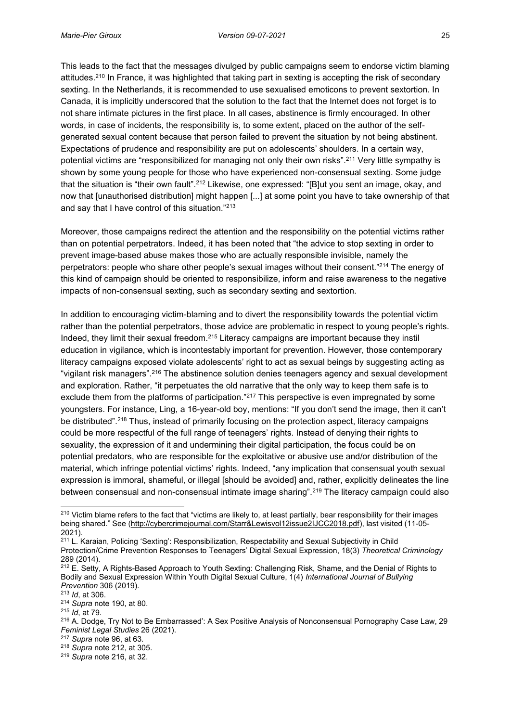This leads to the fact that the messages divulged by public campaigns seem to endorse victim blaming attitudes.210 In France, it was highlighted that taking part in sexting is accepting the risk of secondary sexting. In the Netherlands, it is recommended to use sexualised emoticons to prevent sextortion. In Canada, it is implicitly underscored that the solution to the fact that the Internet does not forget is to not share intimate pictures in the first place. In all cases, abstinence is firmly encouraged. In other words, in case of incidents, the responsibility is, to some extent, placed on the author of the selfgenerated sexual content because that person failed to prevent the situation by not being abstinent. Expectations of prudence and responsibility are put on adolescents' shoulders. In a certain way, potential victims are "responsibilized for managing not only their own risks".<sup>211</sup> Very little sympathy is shown by some young people for those who have experienced non-consensual sexting. Some judge that the situation is "their own fault".<sup>212</sup> Likewise, one expressed: "[B]ut you sent an image, okay, and now that [unauthorised distribution] might happen [...] at some point you have to take ownership of that and say that I have control of this situation."<sup>213</sup>

Moreover, those campaigns redirect the attention and the responsibility on the potential victims rather than on potential perpetrators. Indeed, it has been noted that "the advice to stop sexting in order to prevent image-based abuse makes those who are actually responsible invisible, namely the perpetrators: people who share other people's sexual images without their consent."<sup>214</sup> The energy of this kind of campaign should be oriented to responsibilize, inform and raise awareness to the negative impacts of non-consensual sexting, such as secondary sexting and sextortion.

In addition to encouraging victim-blaming and to divert the responsibility towards the potential victim rather than the potential perpetrators, those advice are problematic in respect to young people's rights. Indeed, they limit their sexual freedom.215 Literacy campaigns are important because they instil education in vigilance, which is incontestably important for prevention. However, those contemporary literacy campaigns exposed violate adolescents' right to act as sexual beings by suggesting acting as "vigilant risk managers".<sup>216</sup> The abstinence solution denies teenagers agency and sexual development and exploration. Rather, "it perpetuates the old narrative that the only way to keep them safe is to exclude them from the platforms of participation."<sup>217</sup> This perspective is even impregnated by some youngsters. For instance, Ling, a 16-year-old boy, mentions: "If you don't send the image, then it can't be distributed".<sup>218</sup> Thus, instead of primarily focusing on the protection aspect, literacy campaigns could be more respectful of the full range of teenagers' rights. Instead of denying their rights to sexuality, the expression of it and undermining their digital participation, the focus could be on potential predators, who are responsible for the exploitative or abusive use and/or distribution of the material, which infringe potential victims' rights. Indeed, "any implication that consensual youth sexual expression is immoral, shameful, or illegal [should be avoided] and, rather, explicitly delineates the line between consensual and non-consensual intimate image sharing".<sup>219</sup> The literacy campaign could also

<sup>&</sup>lt;sup>210</sup> Victim blame refers to the fact that "victims are likely to, at least partially, bear responsibility for their images being shared." See ([http://cybercrimejournal.com/Starr&Lewisvol12issue2IJCC2018.pdf\)](http://cybercrimejournal.com/Starr&Lewisvol12issue2IJCC2018.pdf), last visited (11-05-2021).

<sup>&</sup>lt;sup>211</sup> L. Karaian, Policing 'Sexting': Responsibilization, Respectability and Sexual Subjectivity in Child Protection/Crime Prevention Responses to Teenagers' Digital Sexual Expression, 18(3) *Theoretical Criminology* 289 (2014).

<sup>&</sup>lt;sup>212</sup> E. Setty, A Rights-Based Approach to Youth Sexting: Challenging Risk, Shame, and the Denial of Rights to Bodily and Sexual Expression Within Youth Digital Sexual Culture, 1(4) *International Journal of Bullying Prevention* 306 (2019).

<sup>213</sup> *Id*, at 306.

<sup>214</sup> *Supra* note 190, at 80.

<sup>215</sup> *Id*, at 79.

<sup>216</sup> A. Dodge, Try Not to Be Embarrassed': A Sex Positive Analysis of Nonconsensual Pornography Case Law, 29 *Feminist Legal Studies* 26 (2021). 217 *Supra* note 96, at 63.

<sup>218</sup> *Supra* note 212, at 305.

<sup>219</sup> *Supra* note 216, at 32.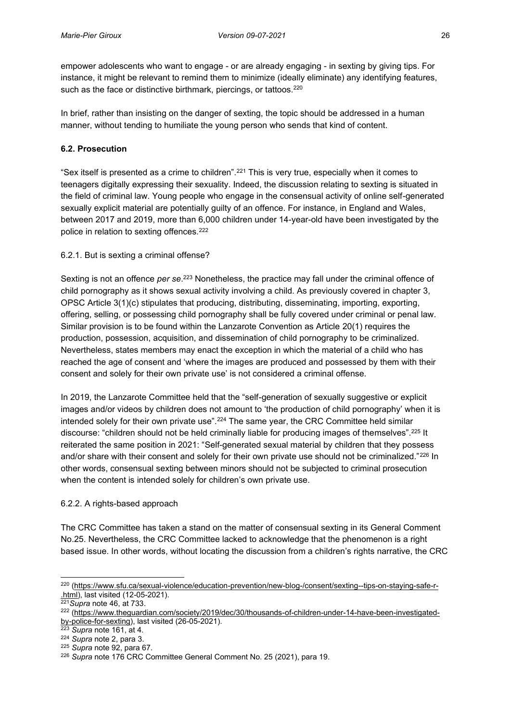empower adolescents who want to engage - or are already engaging - in sexting by giving tips. For instance, it might be relevant to remind them to minimize (ideally eliminate) any identifying features, such as the face or distinctive birthmark, piercings, or tattoos.<sup>220</sup>

In brief, rather than insisting on the danger of sexting, the topic should be addressed in a human manner, without tending to humiliate the young person who sends that kind of content.

## <span id="page-35-0"></span>**6.2. Prosecution**

"Sex itself is presented as a crime to children".<sup>221</sup> This is very true, especially when it comes to teenagers digitally expressing their sexuality. Indeed, the discussion relating to sexting is situated in the field of criminal law. Young people who engage in the consensual activity of online self-generated sexually explicit material are potentially guilty of an offence. For instance, in England and Wales, between 2017 and 2019, more than 6,000 children under 14-year-old have been investigated by the police in relation to sexting offences.<sup>222</sup>

## <span id="page-35-1"></span>6.2.1. But is sexting a criminal offense?

Sexting is not an offence *per se*. <sup>223</sup> Nonetheless, the practice may fall under the criminal offence of child pornography as it shows sexual activity involving a child. As previously covered in chapter 3, OPSC Article 3(1)(c) stipulates that producing, distributing, disseminating, importing, exporting, offering, selling, or possessing child pornography shall be fully covered under criminal or penal law. Similar provision is to be found within the Lanzarote Convention as Article 20(1) requires the production, possession, acquisition, and dissemination of child pornography to be criminalized. Nevertheless, states members may enact the exception in which the material of a child who has reached the age of consent and 'where the images are produced and possessed by them with their consent and solely for their own private use' is not considered a criminal offense.

In 2019, the Lanzarote Committee held that the "self-generation of sexually suggestive or explicit images and/or videos by children does not amount to 'the production of child pornography' when it is intended solely for their own private use".<sup>224</sup> The same year, the CRC Committee held similar discourse: "children should not be held criminally liable for producing images of themselves".<sup>225</sup> It reiterated the same position in 2021: "Self-generated sexual material by children that they possess and/or share with their consent and solely for their own private use should not be criminalized."<sup>226</sup> In other words, consensual sexting between minors should not be subjected to criminal prosecution when the content is intended solely for children's own private use.

### <span id="page-35-2"></span>6.2.2. A rights-based approach

The CRC Committee has taken a stand on the matter of consensual sexting in its General Comment No.25. Nevertheless, the CRC Committee lacked to acknowledge that the phenomenon is a right based issue. In other words, without locating the discussion from a children's rights narrative, the CRC

<sup>220</sup> [\(https://www.sfu.ca/sexual-violence/education-prevention/new-blog-/consent/sexting--tips-on-staying-safe-r-](https://www.sfu.ca/sexual-violence/education-prevention/new-blog-/consent/sexting--tips-on-staying-safe-r-.html) [.html\)](https://www.sfu.ca/sexual-violence/education-prevention/new-blog-/consent/sexting--tips-on-staying-safe-r-.html), last visited (12-05-2021). 221*Supra* note 46, at 733.

<sup>&</sup>lt;sup>222</sup> [\(https://www.theguardian.com/society/2019/dec/30/thousands-of-children-under-14-have-been-investigated](https://www.theguardian.com/society/2019/dec/30/thousands-of-children-under-14-have-been-investigated-by-police-for-sexting)[by-police-for-sexting\)](https://www.theguardian.com/society/2019/dec/30/thousands-of-children-under-14-have-been-investigated-by-police-for-sexting), last visited (26-05-2021). 223 *Supra* note 161, at 4.

<sup>224</sup> *Supra* note 2, para 3.

<sup>225</sup> *Supra* note 92, para 67.

<sup>226</sup> *Supra* note 176 CRC Committee General Comment No. 25 (2021), para 19.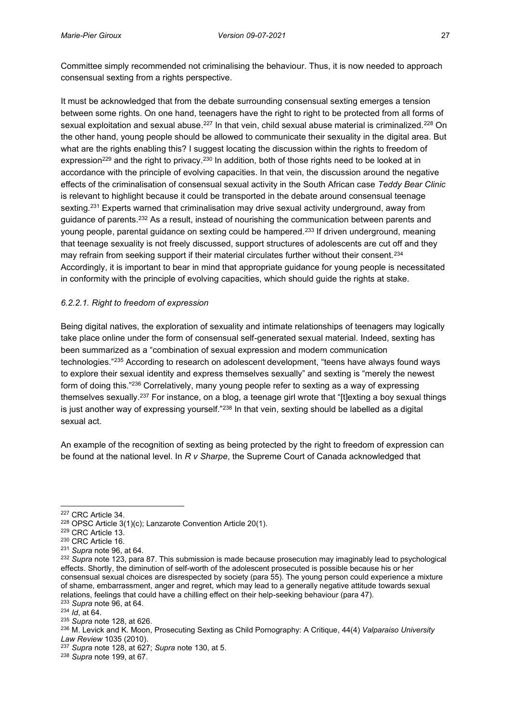Committee simply recommended not criminalising the behaviour. Thus, it is now needed to approach consensual sexting from a rights perspective.

It must be acknowledged that from the debate surrounding consensual sexting emerges a tension between some rights. On one hand, teenagers have the right to right to be protected from all forms of sexual exploitation and sexual abuse.<sup>227</sup> In that vein, child sexual abuse material is criminalized.<sup>228</sup> On the other hand, young people should be allowed to communicate their sexuality in the digital area. But what are the rights enabling this? I suggest locating the discussion within the rights to freedom of expression<sup>229</sup> and the right to privacy.<sup>230</sup> In addition, both of those rights need to be looked at in accordance with the principle of evolving capacities. In that vein, the discussion around the negative effects of the criminalisation of consensual sexual activity in the South African case *Teddy Bear Clinic* is relevant to highlight because it could be transported in the debate around consensual teenage sexting.<sup>231</sup> Experts warned that criminalisation may drive sexual activity underground, away from guidance of parents.232 As a result, instead of nourishing the communication between parents and young people, parental guidance on sexting could be hampered.<sup>233</sup> If driven underground, meaning that teenage sexuality is not freely discussed, support structures of adolescents are cut off and they may refrain from seeking support if their material circulates further without their consent.<sup>234</sup> Accordingly, it is important to bear in mind that appropriate guidance for young people is necessitated in conformity with the principle of evolving capacities, which should guide the rights at stake.

## <span id="page-36-0"></span>*6.2.2.1. Right to freedom of expression*

Being digital natives, the exploration of sexuality and intimate relationships of teenagers may logically take place online under the form of consensual self-generated sexual material. Indeed, sexting has been summarized as a "combination of sexual expression and modern communication technologies."<sup>235</sup> According to research on adolescent development, "teens have always found ways to explore their sexual identity and express themselves sexually" and sexting is "merely the newest form of doing this."<sup>236</sup> Correlatively, many young people refer to sexting as a way of expressing themselves sexually.237 For instance, on a blog, a teenage girl wrote that "[t]exting a boy sexual things is just another way of expressing yourself."<sup>238</sup> In that vein, sexting should be labelled as a digital sexual act.

An example of the recognition of sexting as being protected by the right to freedom of expression can be found at the national level. In *R v Sharpe*, the Supreme Court of Canada acknowledged that

<sup>227</sup> CRC Article 34.

<sup>228</sup> OPSC Article 3(1)(c); Lanzarote Convention Article 20(1).

<sup>229</sup> CRC Article 13.

<sup>230</sup> CRC Article 16.

<sup>231</sup> *Supra* note 96, at 64.

<sup>232</sup> *Supra* note 123, para 87. This submission is made because prosecution may imaginably lead to psychological effects. Shortly, the diminution of self-worth of the adolescent prosecuted is possible because his or her consensual sexual choices are disrespected by society (para 55). The young person could experience a mixture of shame, embarrassment, anger and regret, which may lead to a generally negative attitude towards sexual relations, feelings that could have a chilling effect on their help-seeking behaviour (para 47).

<sup>233</sup> *Supra* note 96, at 64. <sup>234</sup> *Id*, at 64.

<sup>235</sup> *Supra* note 128, at 626.

<sup>236</sup> M. Levick and K. Moon, Prosecuting Sexting as Child Pornography: A Critique, 44(4) *Valparaiso University Law Review* 1035 (2010).

<sup>237</sup> *Supra* note 128, at 627; *Supra* note 130, at 5.

<sup>238</sup> *Supra* note 199, at 67.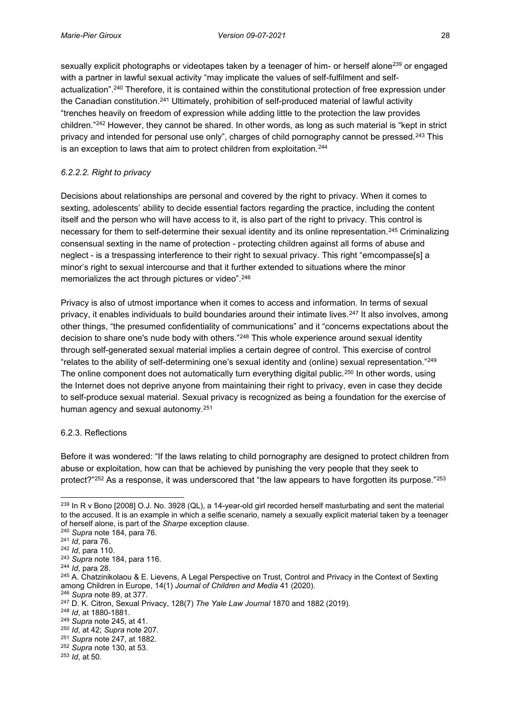sexually explicit photographs or videotapes taken by a teenager of him- or herself alone<sup>239</sup> or engaged with a partner in lawful sexual activity "may implicate the values of self-fulfilment and selfactualization".<sup>240</sup> Therefore, it is contained within the constitutional protection of free expression under the Canadian constitution.241 Ultimately, prohibition of self-produced material of lawful activity "trenches heavily on freedom of expression while adding little to the protection the law provides children."<sup>242</sup> However, they cannot be shared. In other words, as long as such material is "kept in strict privacy and intended for personal use only", charges of child pornography cannot be pressed.<sup>243</sup> This is an exception to laws that aim to protect children from exploitation.<sup>244</sup>

## <span id="page-37-0"></span>*6.2.2.2. Right to privacy*

Decisions about relationships are personal and covered by the right to privacy. When it comes to sexting, adolescents' ability to decide essential factors regarding the practice, including the content itself and the person who will have access to it, is also part of the right to privacy. This control is necessary for them to self-determine their sexual identity and its online representation.245 Criminalizing consensual sexting in the name of protection - protecting children against all forms of abuse and neglect - is a trespassing interference to their right to sexual privacy. This right "emcompasse[s] a minor's right to sexual intercourse and that it further extended to situations where the minor memorializes the act through pictures or video".<sup>246</sup>

Privacy is also of utmost importance when it comes to access and information. In terms of sexual privacy, it enables individuals to build boundaries around their intimate lives.<sup>247</sup> It also involves, among other things, "the presumed confidentiality of communications" and it "concerns expectations about the decision to share one's nude body with others."<sup>248</sup> This whole experience around sexual identity through self-generated sexual material implies a certain degree of control. This exercise of control "relates to the ability of self-determining one's sexual identity and (online) sexual representation."<sup>249</sup> The online component does not automatically turn everything digital public.<sup>250</sup> In other words, using the Internet does not deprive anyone from maintaining their right to privacy, even in case they decide to self-produce sexual material. Sexual privacy is recognized as being a foundation for the exercise of human agency and sexual autonomy.251

### <span id="page-37-1"></span>6.2.3. Reflections

Before it was wondered: "If the laws relating to child pornography are designed to protect children from abuse or exploitation, how can that be achieved by punishing the very people that they seek to protect?"<sup>252</sup> As a response, it was underscored that "the law appears to have forgotten its purpose."<sup>253</sup>

<sup>&</sup>lt;sup>239</sup> In R v Bono [2008] O.J. No. 3928 (QL), a 14-year-old girl recorded herself masturbating and sent the material to the accused. It is an example in which a selfie scenario, namely a sexually explicit material taken by a teenager of herself alone, is part of the *Sharpe* exception clause. 240 *Supra* note 184, para 76.

<sup>241</sup> *Id*, para 76.

<sup>&</sup>lt;sup>242</sup> *Id*, para 110.<br><sup>243</sup> Supra note 184, para 116.

<sup>&</sup>lt;sup>244</sup> *Id*, para 28.<br><sup>245</sup> A. Chatzinikolaou & E. Lievens, A Legal Perspective on Trust, Control and Privacy in the Context of Sexting among Children in Europe, 14(1) *Journal of Children and Media* 41 (2020).

<sup>246</sup> *Supra* note 89, at 377.

<sup>247</sup> D. K. Citron, Sexual Privacy, 128(7) *The Yale Law Journal* 1870 and 1882 (2019).

<sup>248</sup> *Id*, at 1880-1881.

<sup>249</sup> *Supra* note 245, at 41.

<sup>250</sup> *Id*, at 42; *Supra* note 207.

<sup>251</sup> *Supra* note 247, at 1882.

<sup>252</sup> *Supra* note 130, at 53.

<sup>253</sup> *Id*, at 50.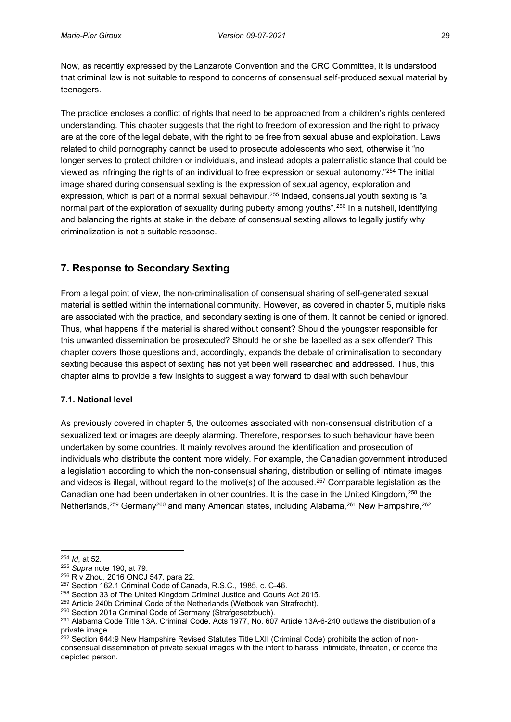Now, as recently expressed by the Lanzarote Convention and the CRC Committee, it is understood that criminal law is not suitable to respond to concerns of consensual self-produced sexual material by teenagers.

The practice encloses a conflict of rights that need to be approached from a children's rights centered understanding. This chapter suggests that the right to freedom of expression and the right to privacy are at the core of the legal debate, with the right to be free from sexual abuse and exploitation. Laws related to child pornography cannot be used to prosecute adolescents who sext, otherwise it "no longer serves to protect children or individuals, and instead adopts a paternalistic stance that could be viewed as infringing the rights of an individual to free expression or sexual autonomy."<sup>254</sup> The initial image shared during consensual sexting is the expression of sexual agency, exploration and expression, which is part of a normal sexual behaviour.<sup>255</sup> Indeed, consensual youth sexting is "a normal part of the exploration of sexuality during puberty among youths".<sup>256</sup> In a nutshell, identifying and balancing the rights at stake in the debate of consensual sexting allows to legally justify why criminalization is not a suitable response.

# <span id="page-38-0"></span>**7. Response to Secondary Sexting**

From a legal point of view, the non-criminalisation of consensual sharing of self-generated sexual material is settled within the international community. However, as covered in chapter 5, multiple risks are associated with the practice, and secondary sexting is one of them. It cannot be denied or ignored. Thus, what happens if the material is shared without consent? Should the youngster responsible for this unwanted dissemination be prosecuted? Should he or she be labelled as a sex offender? This chapter covers those questions and, accordingly, expands the debate of criminalisation to secondary sexting because this aspect of sexting has not yet been well researched and addressed. Thus, this chapter aims to provide a few insights to suggest a way forward to deal with such behaviour.

### <span id="page-38-1"></span>**7.1. National level**

As previously covered in chapter 5, the outcomes associated with non-consensual distribution of a sexualized text or images are deeply alarming. Therefore, responses to such behaviour have been undertaken by some countries. It mainly revolves around the identification and prosecution of individuals who distribute the content more widely. For example, the Canadian government introduced a legislation according to which the non-consensual sharing, distribution or selling of intimate images and videos is illegal, without regard to the motive(s) of the accused.<sup>257</sup> Comparable legislation as the Canadian one had been undertaken in other countries. It is the case in the United Kingdom, 258 the Netherlands,<sup>259</sup> Germany<sup>260</sup> and many American states, including Alabama,<sup>261</sup> New Hampshire,<sup>262</sup>

<sup>254</sup> *Id*, at 52.

<sup>255</sup> *Supra* note 190, at 79.

 $^{256}$  R v Zhou, 2016 ONCJ 547, para 22.<br> $^{257}$  Section 162.1 Criminal Code of Canada, R.S.C., 1985, c. C-46.

<sup>&</sup>lt;sup>258</sup> Section 33 of The United Kingdom Criminal Justice and Courts Act 2015.

 $^{259}$  Article 240b Criminal Code of the Netherlands (Wetboek van Strafrecht).<br> $^{260}$  Section 201a Criminal Code of Germany (Strafgesetzbuch).

<sup>&</sup>lt;sup>261</sup> Alabama Code Title 13A. Criminal Code. Acts 1977, No. 607 Article 13A-6-240 outlaws the distribution of a private image.

<sup>&</sup>lt;sup>262</sup> Section 644:9 New Hampshire Revised Statutes Title LXII (Criminal Code) prohibits the action of nonconsensual dissemination of private sexual images with the intent to harass, intimidate, threaten, or coerce the depicted person.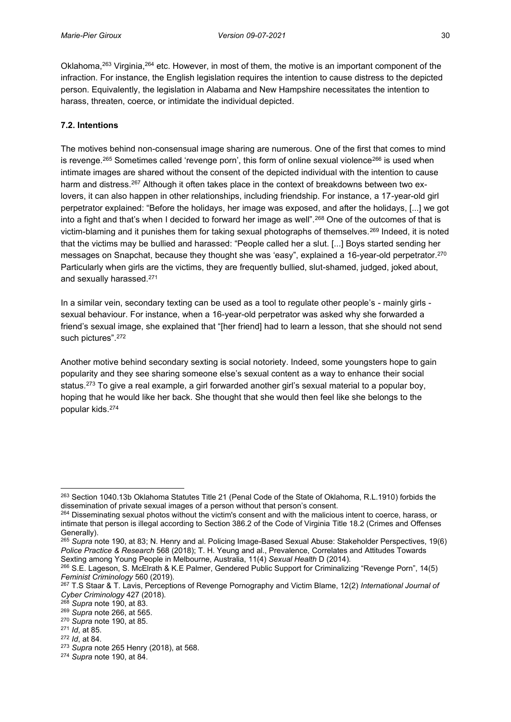Oklahoma,<sup>263</sup> Virginia,<sup>264</sup> etc. However, in most of them, the motive is an important component of the infraction. For instance, the English legislation requires the intention to cause distress to the depicted person. Equivalently, the legislation in Alabama and New Hampshire necessitates the intention to harass, threaten, coerce, or intimidate the individual depicted.

## <span id="page-39-0"></span>**7.2. Intentions**

The motives behind non-consensual image sharing are numerous. One of the first that comes to mind is revenge.<sup>265</sup> Sometimes called 'revenge porn', this form of online sexual violence<sup>266</sup> is used when intimate images are shared without the consent of the depicted individual with the intention to cause harm and distress.<sup>267</sup> Although it often takes place in the context of breakdowns between two exlovers, it can also happen in other relationships, including friendship. For instance, a 17-year-old girl perpetrator explained: "Before the holidays, her image was exposed, and after the holidays, [...] we got into a fight and that's when I decided to forward her image as well".<sup>268</sup> One of the outcomes of that is victim-blaming and it punishes them for taking sexual photographs of themselves.269 Indeed, it is noted that the victims may be bullied and harassed: "People called her a slut. [...] Boys started sending her messages on Snapchat, because they thought she was 'easy", explained a 16-year-old perpetrator.270 Particularly when girls are the victims, they are frequently bullied, slut-shamed, judged, joked about, and sexually harassed.271

In a similar vein, secondary texting can be used as a tool to regulate other people's - mainly girls sexual behaviour. For instance, when a 16-year-old perpetrator was asked why she forwarded a friend's sexual image, she explained that "[her friend] had to learn a lesson, that she should not send such pictures".<sup>272</sup>

Another motive behind secondary sexting is social notoriety. Indeed, some youngsters hope to gain popularity and they see sharing someone else's sexual content as a way to enhance their social status.273 To give a real example, a girl forwarded another girl's sexual material to a popular boy, hoping that he would like her back. She thought that she would then feel like she belongs to the popular kids.274

<sup>&</sup>lt;sup>263</sup> Section 1040.13b Oklahoma Statutes Title 21 (Penal Code of the State of Oklahoma, R.L.1910) forbids the dissemination of private sexual images of a person without that person's consent.

<sup>&</sup>lt;sup>264</sup> Disseminating sexual photos without the victim's consent and with the malicious intent to coerce, harass, or intimate that person is illegal according to Section 386.2 of the Code of Virginia Title 18.2 (Crimes and Offenses Generally).

<sup>265</sup> *Supra* note 190, at 83; N. Henry and al. Policing Image-Based Sexual Abuse: Stakeholder Perspectives, 19(6) *Police Practice & Research* 568 (2018); T. H. Yeung and al., Prevalence, Correlates and Attitudes Towards Sexting among Young People in Melbourne, Australia, 11(4) *Sexual Health* D (2014).

<sup>266</sup> S.E. Lageson, S. McElrath & K.E Palmer, Gendered Public Support for Criminalizing "Revenge Porn", 14(5) *Feminist Criminology* 560 (2019).<br><sup>267</sup> T.S Staar & T. Lavis, Perceptions of Revenge Pornography and Victim Blame, 12(2) *International Journal of* 

*Cyber Criminology* 427 (2018).

<sup>268</sup> *Supra* note 190, at 83.

<sup>269</sup> *Supra* note 266, at 565.

<sup>270</sup> *Supra* note 190, at 85.

<sup>271</sup> *Id*, at 85.

<sup>272</sup> *Id*, at 84.

<sup>273</sup> *Supra* note 265 Henry (2018), at 568.

<sup>274</sup> *Supra* note 190, at 84.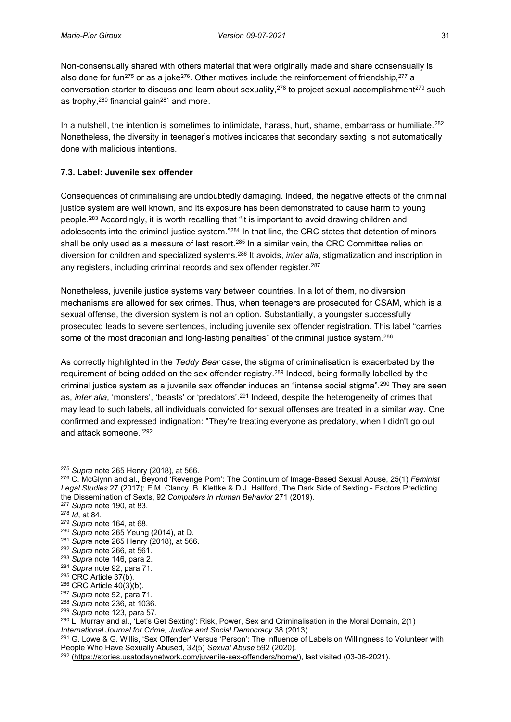Non-consensually shared with others material that were originally made and share consensually is also done for fun<sup>275</sup> or as a joke<sup>276</sup>. Other motives include the reinforcement of friendship,<sup>277</sup> a conversation starter to discuss and learn about sexuality,<sup>278</sup> to project sexual accomplishment<sup>279</sup> such as trophy,  $280$  financial gain $281$  and more.

In a nutshell, the intention is sometimes to intimidate, harass, hurt, shame, embarrass or humiliate.<sup>282</sup> Nonetheless, the diversity in teenager's motives indicates that secondary sexting is not automatically done with malicious intentions.

## <span id="page-40-0"></span>**7.3. Label: Juvenile sex offender**

Consequences of criminalising are undoubtedly damaging. Indeed, the negative effects of the criminal justice system are well known, and its exposure has been demonstrated to cause harm to young people.<sup>283</sup> Accordingly, it is worth recalling that "it is important to avoid drawing children and adolescents into the criminal justice system."<sup>284</sup> In that line, the CRC states that detention of minors shall be only used as a measure of last resort.<sup>285</sup> In a similar vein, the CRC Committee relies on diversion for children and specialized systems.286 It avoids, *inter alia*, stigmatization and inscription in any registers, including criminal records and sex offender register.<sup>287</sup>

Nonetheless, juvenile justice systems vary between countries. In a lot of them, no diversion mechanisms are allowed for sex crimes. Thus, when teenagers are prosecuted for CSAM, which is a sexual offense, the diversion system is not an option. Substantially, a youngster successfully prosecuted leads to severe sentences, including juvenile sex offender registration. This label "carries some of the most draconian and long-lasting penalties" of the criminal justice system.<sup>288</sup>

As correctly highlighted in the *Teddy Bear* case, the stigma of criminalisation is exacerbated by the requirement of being added on the sex offender registry.<sup>289</sup> Indeed, being formally labelled by the criminal justice system as a juvenile sex offender induces an "intense social stigma".<sup>290</sup> They are seen as, *inter alia*, 'monsters', 'beasts' or 'predators'.<sup>291</sup> Indeed, despite the heterogeneity of crimes that may lead to such labels, all individuals convicted for sexual offenses are treated in a similar way. One confirmed and expressed indignation: "They're treating everyone as predatory, when I didn't go out and attack someone."<sup>292</sup>

- <sup>277</sup> *Supra* note 190, at 83.
- <sup>278</sup> *Id*, at 84.

- <sup>280</sup> *Supra* note 265 Yeung (2014), at D.
- <sup>281</sup> *Supra* note 265 Henry (2018), at 566.

<sup>275</sup> *Supra* note 265 Henry (2018), at 566.

<sup>276</sup> C. McGlynn and al., Beyond 'Revenge Porn': The Continuum of Image-Based Sexual Abuse, 25(1) *Feminist Legal Studies* 27 (2017); E.M. Clancy, B. Klettke & D.J. Hallford, The Dark Side of Sexting - Factors Predicting the Dissemination of Sexts, 92 *Computers in Human Behavior* 271 (2019).

<sup>279</sup> *Supra* note 164, at 68.

<sup>282</sup> *Supra* note 266, at 561.

<sup>283</sup> *Supra* note 146, para 2.

<sup>&</sup>lt;sup>284</sup> *Supra* note 92, para 71.<br><sup>285</sup> CRC Article 37(b).

 $286$  CRC Article 40(3)(b).

<sup>287</sup> *Supra* note 92, para 71.

<sup>288</sup> *Supra* note 236, at 1036.

<sup>289</sup> *Supra* note 123, para 57.

<sup>290</sup> L. Murray and al., 'Let's Get Sexting': Risk, Power, Sex and Criminalisation in the Moral Domain, 2(1)

*International Journal for Crime, Justice and Social Democracy* 38 (2013).<br><sup>291</sup> G. Lowe & G. Willis, 'Sex Offender' Versus 'Person': The Influence of Labels on Willingness to Volunteer with People Who Have Sexually Abused, 32(5) *Sexual Abuse* 592 (2020).

<sup>&</sup>lt;sup>292</sup> [\(https://stories.usatodaynetwork.com/juvenile-sex-offenders/home/\)](https://stories.usatodaynetwork.com/juvenile-sex-offenders/home/), last visited (03-06-2021).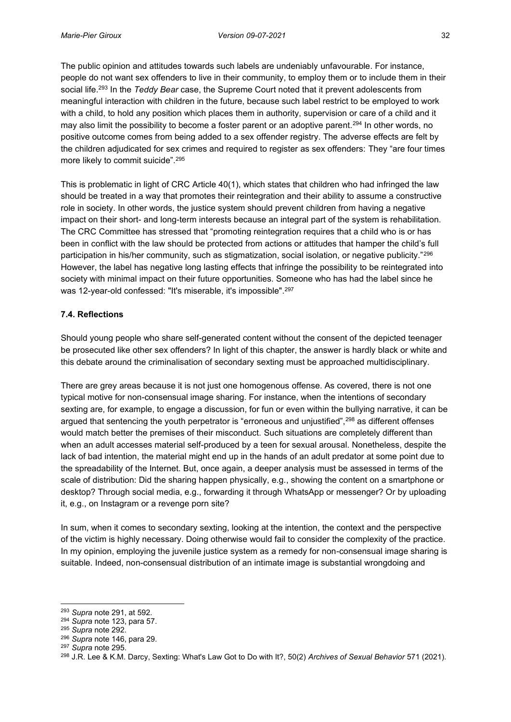The public opinion and attitudes towards such labels are undeniably unfavourable. For instance, people do not want sex offenders to live in their community, to employ them or to include them in their social life.293 In the *Teddy Bear* case, the Supreme Court noted that it prevent adolescents from meaningful interaction with children in the future, because such label restrict to be employed to work with a child, to hold any position which places them in authority, supervision or care of a child and it may also limit the possibility to become a foster parent or an adoptive parent.294 In other words, no positive outcome comes from being added to a sex offender registry. The adverse effects are felt by the children adjudicated for sex crimes and required to register as sex offenders: They "are four times more likely to commit suicide".<sup>295</sup>

This is problematic in light of CRC Article 40(1), which states that children who had infringed the law should be treated in a way that promotes their reintegration and their ability to assume a constructive role in society. In other words, the justice system should prevent children from having a negative impact on their short- and long-term interests because an integral part of the system is rehabilitation. The CRC Committee has stressed that "promoting reintegration requires that a child who is or has been in conflict with the law should be protected from actions or attitudes that hamper the child's full participation in his/her community, such as stigmatization, social isolation, or negative publicity."<sup>296</sup> However, the label has negative long lasting effects that infringe the possibility to be reintegrated into society with minimal impact on their future opportunities. Someone who has had the label since he was 12-year-old confessed: "It's miserable, it's impossible".297

## <span id="page-41-0"></span>**7.4. Reflections**

Should young people who share self-generated content without the consent of the depicted teenager be prosecuted like other sex offenders? In light of this chapter, the answer is hardly black or white and this debate around the criminalisation of secondary sexting must be approached multidisciplinary.

There are grey areas because it is not just one homogenous offense. As covered, there is not one typical motive for non-consensual image sharing. For instance, when the intentions of secondary sexting are, for example, to engage a discussion, for fun or even within the bullying narrative, it can be argued that sentencing the youth perpetrator is "erroneous and unjustified",<sup>298</sup> as different offenses would match better the premises of their misconduct. Such situations are completely different than when an adult accesses material self-produced by a teen for sexual arousal. Nonetheless, despite the lack of bad intention, the material might end up in the hands of an adult predator at some point due to the spreadability of the Internet. But, once again, a deeper analysis must be assessed in terms of the scale of distribution: Did the sharing happen physically, e.g., showing the content on a smartphone or desktop? Through social media, e.g., forwarding it through WhatsApp or messenger? Or by uploading it, e.g., on Instagram or a revenge porn site?

In sum, when it comes to secondary sexting, looking at the intention, the context and the perspective of the victim is highly necessary. Doing otherwise would fail to consider the complexity of the practice. In my opinion, employing the juvenile justice system as a remedy for non-consensual image sharing is suitable. Indeed, non-consensual distribution of an intimate image is substantial wrongdoing and

<sup>293</sup> *Supra* note 291, at 592.

<sup>294</sup> *Supra* note 123, para 57. 295 *Supra* note 292.

<sup>296</sup> *Supra* note 146, para 29.

<sup>297</sup> *Supra* note 295.

<sup>298</sup> J.R. Lee & K.M. Darcy, Sexting: What's Law Got to Do with It?, 50(2) *Archives of Sexual Behavior* 571 (2021).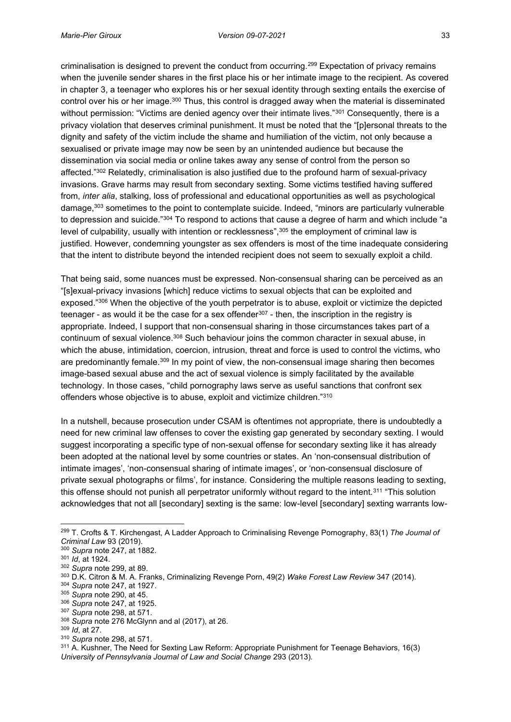criminalisation is designed to prevent the conduct from occurring.299 Expectation of privacy remains when the juvenile sender shares in the first place his or her intimate image to the recipient. As covered in chapter 3, a teenager who explores his or her sexual identity through sexting entails the exercise of control over his or her image.300 Thus, this control is dragged away when the material is disseminated without permission: "Victims are denied agency over their intimate lives."<sup>301</sup> Consequently, there is a privacy violation that deserves criminal punishment. It must be noted that the "[p]ersonal threats to the dignity and safety of the victim include the shame and humiliation of the victim, not only because a sexualised or private image may now be seen by an unintended audience but because the dissemination via social media or online takes away any sense of control from the person so affected."<sup>302</sup> Relatedly, criminalisation is also justified due to the profound harm of sexual-privacy invasions. Grave harms may result from secondary sexting. Some victims testified having suffered from, *inter alia*, stalking, loss of professional and educational opportunities as well as psychological damage,<sup>303</sup> sometimes to the point to contemplate suicide. Indeed, "minors are particularly vulnerable to depression and suicide."<sup>304</sup> To respond to actions that cause a degree of harm and which include "a level of culpability, usually with intention or recklessness",<sup>305</sup> the employment of criminal law is justified. However, condemning youngster as sex offenders is most of the time inadequate considering that the intent to distribute beyond the intended recipient does not seem to sexually exploit a child.

That being said, some nuances must be expressed. Non-consensual sharing can be perceived as an "[s]exual-privacy invasions [which] reduce victims to sexual objects that can be exploited and exposed."<sup>306</sup> When the objective of the youth perpetrator is to abuse, exploit or victimize the depicted teenager - as would it be the case for a sex offender<sup>307</sup> - then, the inscription in the registry is appropriate. Indeed, I support that non-consensual sharing in those circumstances takes part of a continuum of sexual violence.308 Such behaviour joins the common character in sexual abuse, in which the abuse, intimidation, coercion, intrusion, threat and force is used to control the victims, who are predominantly female.<sup>309</sup> In my point of view, the non-consensual image sharing then becomes image-based sexual abuse and the act of sexual violence is simply facilitated by the available technology. In those cases, "child pornography laws serve as useful sanctions that confront sex offenders whose objective is to abuse, exploit and victimize children."<sup>310</sup>

In a nutshell, because prosecution under CSAM is oftentimes not appropriate, there is undoubtedly a need for new criminal law offenses to cover the existing gap generated by secondary sexting. I would suggest incorporating a specific type of non-sexual offense for secondary sexting like it has already been adopted at the national level by some countries or states. An 'non-consensual distribution of intimate images', 'non-consensual sharing of intimate images', or 'non-consensual disclosure of private sexual photographs or films', for instance. Considering the multiple reasons leading to sexting, this offense should not punish all perpetrator uniformly without regard to the intent.<sup>311</sup> "This solution acknowledges that not all [secondary] sexting is the same: low-level [secondary] sexting warrants low-

<sup>299</sup> T. Crofts & T. Kirchengast, A Ladder Approach to Criminalising Revenge Pornography, 83(1) *The Journal of Criminal Law* 93 (2019).

<sup>300</sup> *Supra* note 247, at 1882.

<sup>301</sup> *Id*, at 1924.

<sup>302</sup> *Supra* note 299, at 89.

<sup>303</sup> D.K. Citron & M. A. Franks, Criminalizing Revenge Porn, 49(2) *Wake Forest Law Review* 347 (2014). 304 *Supra* note 247, at 1927.

<sup>305</sup> *Supra* note 290, at 45. 306 *Supra* note 247, at 1925.

<sup>307</sup> *Supra* note 298, at 571.

<sup>308</sup> *Supra* note 276 McGlynn and al (2017), at 26.

<sup>309</sup> *Id*, at 27.

<sup>310</sup> *Supra* note 298, at 571.

<sup>311</sup> A. Kushner, The Need for Sexting Law Reform: Appropriate Punishment for Teenage Behaviors, 16(3) *University of Pennsylvania Journal of Law and Social Change* 293 (2013).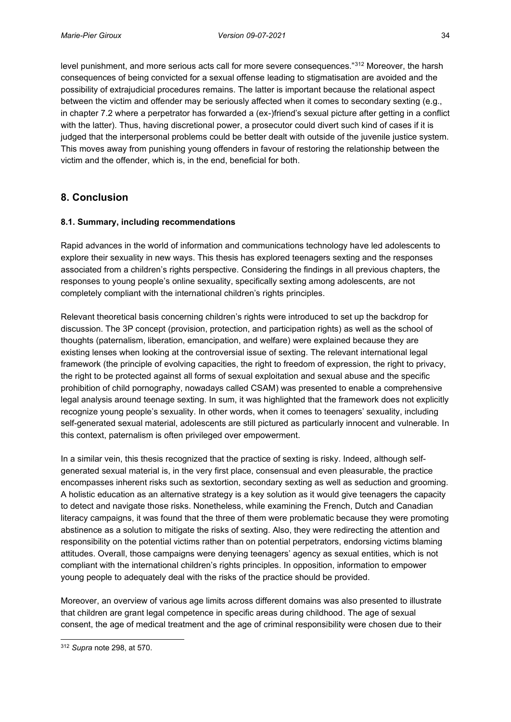level punishment, and more serious acts call for more severe consequences."<sup>312</sup> Moreover, the harsh consequences of being convicted for a sexual offense leading to stigmatisation are avoided and the possibility of extrajudicial procedures remains. The latter is important because the relational aspect between the victim and offender may be seriously affected when it comes to secondary sexting (e.g., in chapter 7.2 where a perpetrator has forwarded a (ex-)friend's sexual picture after getting in a conflict with the latter). Thus, having discretional power, a prosecutor could divert such kind of cases if it is judged that the interpersonal problems could be better dealt with outside of the juvenile justice system. This moves away from punishing young offenders in favour of restoring the relationship between the victim and the offender, which is, in the end, beneficial for both.

# <span id="page-43-0"></span>**8. Conclusion**

## <span id="page-43-1"></span>**8.1. Summary, including recommendations**

Rapid advances in the world of information and communications technology have led adolescents to explore their sexuality in new ways. This thesis has explored teenagers sexting and the responses associated from a children's rights perspective. Considering the findings in all previous chapters, the responses to young people's online sexuality, specifically sexting among adolescents, are not completely compliant with the international children's rights principles.

Relevant theoretical basis concerning children's rights were introduced to set up the backdrop for discussion. The 3P concept (provision, protection, and participation rights) as well as the school of thoughts (paternalism, liberation, emancipation, and welfare) were explained because they are existing lenses when looking at the controversial issue of sexting. The relevant international legal framework (the principle of evolving capacities, the right to freedom of expression, the right to privacy, the right to be protected against all forms of sexual exploitation and sexual abuse and the specific prohibition of child pornography, nowadays called CSAM) was presented to enable a comprehensive legal analysis around teenage sexting. In sum, it was highlighted that the framework does not explicitly recognize young people's sexuality. In other words, when it comes to teenagers' sexuality, including self-generated sexual material, adolescents are still pictured as particularly innocent and vulnerable. In this context, paternalism is often privileged over empowerment.

In a similar vein, this thesis recognized that the practice of sexting is risky. Indeed, although selfgenerated sexual material is, in the very first place, consensual and even pleasurable, the practice encompasses inherent risks such as sextortion, secondary sexting as well as seduction and grooming. A holistic education as an alternative strategy is a key solution as it would give teenagers the capacity to detect and navigate those risks. Nonetheless, while examining the French, Dutch and Canadian literacy campaigns, it was found that the three of them were problematic because they were promoting abstinence as a solution to mitigate the risks of sexting. Also, they were redirecting the attention and responsibility on the potential victims rather than on potential perpetrators, endorsing victims blaming attitudes. Overall, those campaigns were denying teenagers' agency as sexual entities, which is not compliant with the international children's rights principles. In opposition, information to empower young people to adequately deal with the risks of the practice should be provided.

Moreover, an overview of various age limits across different domains was also presented to illustrate that children are grant legal competence in specific areas during childhood. The age of sexual consent, the age of medical treatment and the age of criminal responsibility were chosen due to their

<sup>312</sup> *Supra* note 298, at 570.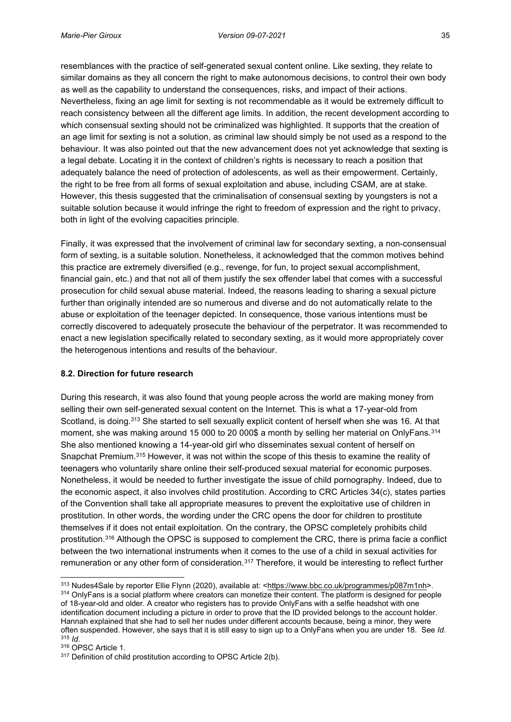resemblances with the practice of self-generated sexual content online. Like sexting, they relate to similar domains as they all concern the right to make autonomous decisions, to control their own body as well as the capability to understand the consequences, risks, and impact of their actions. Nevertheless, fixing an age limit for sexting is not recommendable as it would be extremely difficult to reach consistency between all the different age limits. In addition, the recent development according to which consensual sexting should not be criminalized was highlighted. It supports that the creation of an age limit for sexting is not a solution, as criminal law should simply be not used as a respond to the behaviour. It was also pointed out that the new advancement does not yet acknowledge that sexting is a legal debate. Locating it in the context of children's rights is necessary to reach a position that adequately balance the need of protection of adolescents, as well as their empowerment. Certainly, the right to be free from all forms of sexual exploitation and abuse, including CSAM, are at stake. However, this thesis suggested that the criminalisation of consensual sexting by youngsters is not a suitable solution because it would infringe the right to freedom of expression and the right to privacy, both in light of the evolving capacities principle.

Finally, it was expressed that the involvement of criminal law for secondary sexting, a non-consensual form of sexting, is a suitable solution. Nonetheless, it acknowledged that the common motives behind this practice are extremely diversified (e.g., revenge, for fun, to project sexual accomplishment, financial gain, etc.) and that not all of them justify the sex offender label that comes with a successful prosecution for child sexual abuse material. Indeed, the reasons leading to sharing a sexual picture further than originally intended are so numerous and diverse and do not automatically relate to the abuse or exploitation of the teenager depicted. In consequence, those various intentions must be correctly discovered to adequately prosecute the behaviour of the perpetrator. It was recommended to enact a new legislation specifically related to secondary sexting, as it would more appropriately cover the heterogenous intentions and results of the behaviour.

#### <span id="page-44-0"></span>**8.2. Direction for future research**

During this research, it was also found that young people across the world are making money from selling their own self-generated sexual content on the Internet. This is what a 17-year-old from Scotland, is doing.313 She started to sell sexually explicit content of herself when she was 16. At that moment, she was making around 15 000 to 20 000\$ a month by selling her material on OnlyFans.314 She also mentioned knowing a 14-year-old girl who disseminates sexual content of herself on Snapchat Premium.315 However, it was not within the scope of this thesis to examine the reality of teenagers who voluntarily share online their self-produced sexual material for economic purposes. Nonetheless, it would be needed to further investigate the issue of child pornography. Indeed, due to the economic aspect, it also involves child prostitution. According to CRC Articles 34(c), states parties of the Convention shall take all appropriate measures to prevent the exploitative use of children in prostitution. In other words, the wording under the CRC opens the door for children to prostitute themselves if it does not entail exploitation. On the contrary, the OPSC completely prohibits child prostitution.<sup>316</sup> Although the OPSC is supposed to complement the CRC, there is prima facie a conflict between the two international instruments when it comes to the use of a child in sexual activities for remuneration or any other form of consideration.317 Therefore, it would be interesting to reflect further

<sup>&</sup>lt;sup>313</sup> Nudes4Sale by reporter Ellie Flynn (2020), available at: [<https://www.bbc.co.uk/programmes/p087m1nh>](https://www.bbc.co.uk/programmes/p087m1nh). 314 OnlyFans is a social platform where creators can monetize their content. The platform is designed for people

of 18-year-old and older. A creator who registers has to provide OnlyFans with a selfie headshot with one identification document including a picture in order to prove that the ID provided belongs to the account holder. Hannah explained that she had to sell her nudes under different accounts because, being a minor, they were often suspended. However, she says that it is still easy to sign up to a OnlyFans when you are under 18. See *Id*. 315 *Id.*<br><sup>316</sup> OPSC Article 1.

 $317$  Definition of child prostitution according to OPSC Article 2(b).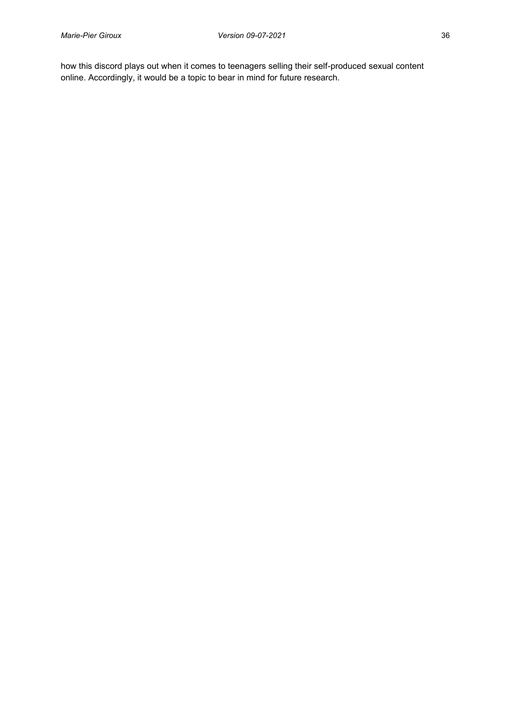how this discord plays out when it comes to teenagers selling their self-produced sexual content online. Accordingly, it would be a topic to bear in mind for future research.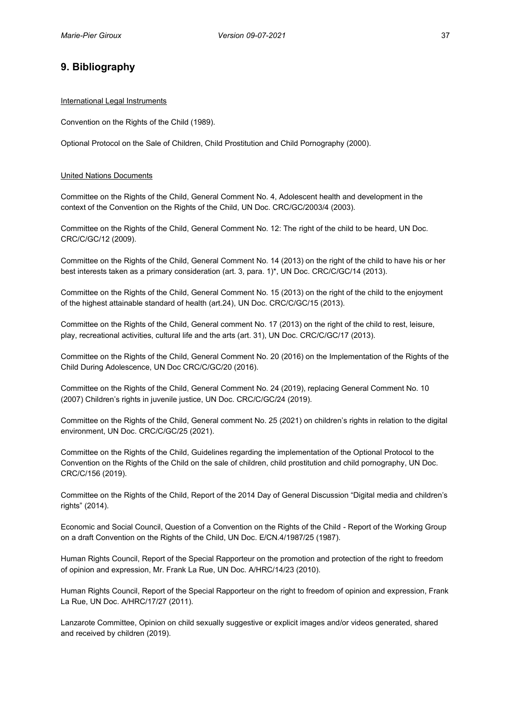# <span id="page-46-0"></span>**9. Bibliography**

#### International Legal Instruments

Convention on the Rights of the Child (1989).

Optional Protocol on the Sale of Children, Child Prostitution and Child Pornography (2000).

#### United Nations Documents

Committee on the Rights of the Child, General Comment No. 4, Adolescent health and development in the context of the Convention on the Rights of the Child, UN Doc. CRC/GC/2003/4 (2003).

Committee on the Rights of the Child, General Comment No. 12: The right of the child to be heard, UN Doc. CRC/C/GC/12 (2009).

Committee on the Rights of the Child, General Comment No. 14 (2013) on the right of the child to have his or her best interests taken as a primary consideration (art. 3, para. 1)\*, UN Doc. CRC/C/GC/14 (2013).

Committee on the Rights of the Child, General Comment No. 15 (2013) on the right of the child to the enjoyment of the highest attainable standard of health (art.24), UN Doc. CRC/C/GC/15 (2013).

Committee on the Rights of the Child, General comment No. 17 (2013) on the right of the child to rest, leisure, play, recreational activities, cultural life and the arts (art. 31), UN Doc. CRC/C/GC/17 (2013).

Committee on the Rights of the Child, General Comment No. 20 (2016) on the Implementation of the Rights of the Child During Adolescence, UN Doc CRC/C/GC/20 (2016).

Committee on the Rights of the Child, General Comment No. 24 (2019), replacing General Comment No. 10 (2007) Children's rights in juvenile justice, UN Doc. CRC/C/GC/24 (2019).

Committee on the Rights of the Child, General comment No. 25 (2021) on children's rights in relation to the digital environment, UN Doc. CRC/C/GC/25 (2021).

Committee on the Rights of the Child, Guidelines regarding the implementation of the Optional Protocol to the Convention on the Rights of the Child on the sale of children, child prostitution and child pornography, UN Doc. CRC/C/156 (2019).

Committee on the Rights of the Child, Report of the 2014 Day of General Discussion "Digital media and children's rights" (2014).

Economic and Social Council, Question of a Convention on the Rights of the Child - Report of the Working Group on a draft Convention on the Rights of the Child, UN Doc. E/CN.4/1987/25 (1987).

Human Rights Council, Report of the Special Rapporteur on the promotion and protection of the right to freedom of opinion and expression, Mr. Frank La Rue, UN Doc. A/HRC/14/23 (2010).

Human Rights Council, Report of the Special Rapporteur on the right to freedom of opinion and expression, Frank La Rue, UN Doc. A/HRC/17/27 (2011).

Lanzarote Committee, Opinion on child sexually suggestive or explicit images and/or videos generated, shared and received by children (2019).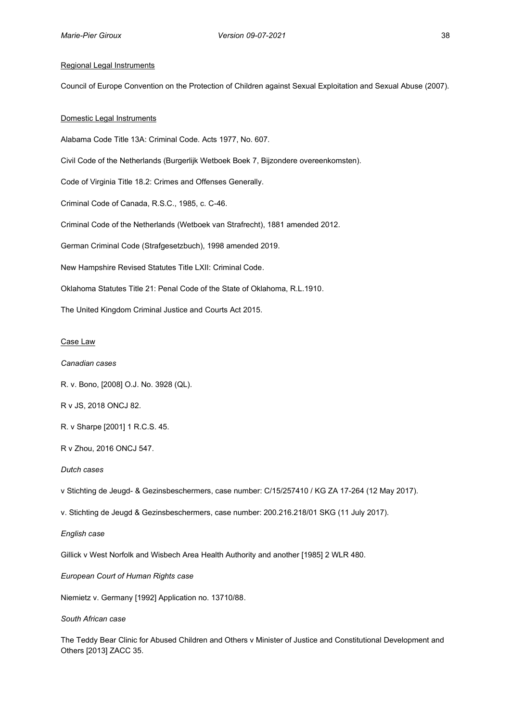#### Regional Legal Instruments

Council of Europe Convention on the Protection of Children against Sexual Exploitation and Sexual Abuse (2007).

#### Domestic Legal Instruments

Alabama Code Title 13A: Criminal Code. Acts 1977, No. 607.

Civil Code of the Netherlands (Burgerlijk Wetboek Boek 7, Bijzondere overeenkomsten).

Code of Virginia Title 18.2: Crimes and Offenses Generally.

Criminal Code of Canada, R.S.C., 1985, c. C-46.

Criminal Code of the Netherlands (Wetboek van Strafrecht), 1881 amended 2012.

German Criminal Code (Strafgesetzbuch), 1998 amended 2019.

New Hampshire Revised Statutes Title LXII: Criminal Code.

Oklahoma Statutes Title 21: Penal Code of the State of Oklahoma, R.L.1910.

The United Kingdom Criminal Justice and Courts Act 2015.

#### Case Law

#### *Canadian cases*

R. v. Bono, [2008] O.J. No. 3928 (QL).

R v JS, 2018 ONCJ 82.

R. v Sharpe [2001] 1 R.C.S. 45.

R v Zhou, 2016 ONCJ 547.

*Dutch cases*

v Stichting de Jeugd- & Gezinsbeschermers, case number: C/15/257410 / KG ZA 17-264 (12 May 2017).

v. Stichting de Jeugd & Gezinsbeschermers, case number: 200.216.218/01 SKG (11 July 2017).

*English case*

Gillick v West Norfolk and Wisbech Area Health Authority and another [1985] 2 WLR 480.

*European Court of Human Rights case*

Niemietz v. Germany [1992] Application no. 13710/88.

*South African case*

The Teddy Bear Clinic for Abused Children and Others v Minister of Justice and Constitutional Development and Others [2013] ZACC 35.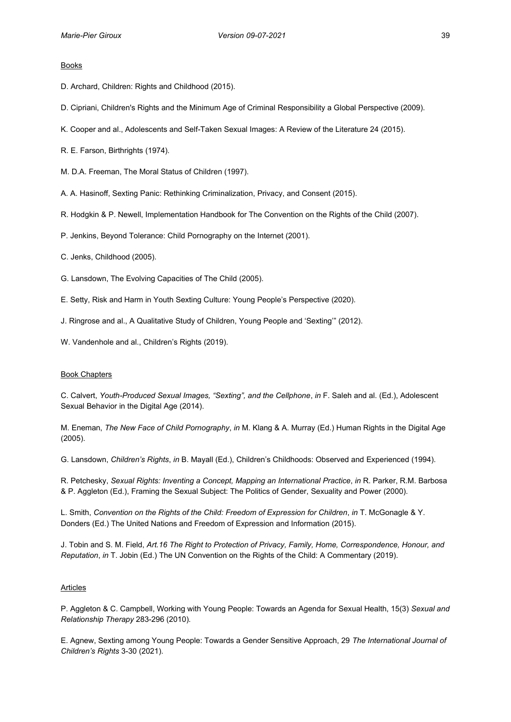#### Books

- D. Archard, Children: Rights and Childhood (2015).
- D. Cipriani, Children's Rights and the Minimum Age of Criminal Responsibility a Global Perspective (2009).
- K. Cooper and al., Adolescents and Self-Taken Sexual Images: A Review of the Literature 24 (2015).
- R. E. Farson, Birthrights (1974).
- M. D.A. Freeman, The Moral Status of Children (1997).
- A. A. Hasinoff, Sexting Panic: Rethinking Criminalization, Privacy, and Consent (2015).
- R. Hodgkin & P. Newell, Implementation Handbook for The Convention on the Rights of the Child (2007).
- P. Jenkins, Beyond Tolerance: Child Pornography on the Internet (2001).
- C. Jenks, Childhood (2005).
- G. Lansdown, The Evolving Capacities of The Child (2005).
- E. Setty, Risk and Harm in Youth Sexting Culture: Young People's Perspective (2020).
- J. Ringrose and al., A Qualitative Study of Children, Young People and 'Sexting'" (2012).
- W. Vandenhole and al., Children's Rights (2019).

#### Book Chapters

C. Calvert, *Youth-Produced Sexual Images, "Sexting", and the Cellphone*, *in* F. Saleh and al. (Ed.), Adolescent Sexual Behavior in the Digital Age (2014).

M. Eneman, *The New Face of Child Pornography*, *in* M. Klang & A. Murray (Ed.) Human Rights in the Digital Age (2005).

G. Lansdown, *Children's Rights*, *in* B. Mayall (Ed.), Children's Childhoods: Observed and Experienced (1994).

R. Petchesky, *Sexual Rights: Inventing a Concept, Mapping an International Practice*, *in* R. Parker, R.M. Barbosa & P. Aggleton (Ed.), Framing the Sexual Subject: The Politics of Gender, Sexuality and Power (2000).

L. Smith, *Convention on the Rights of the Child: Freedom of Expression for Children*, *in* T. McGonagle & Y. Donders (Ed.) The United Nations and Freedom of Expression and Information (2015).

J. Tobin and S. M. Field, *Art.16 The Right to Protection of Privacy, Family, Home, Correspondence, Honour, and Reputation*, *in* T. Jobin (Ed.) The UN Convention on the Rights of the Child: A Commentary (2019).

#### Articles

P. Aggleton & C. Campbell, Working with Young People: Towards an Agenda for Sexual Health, 15(3) *Sexual and Relationship Therapy* 283-296 (2010).

E. Agnew, Sexting among Young People: Towards a Gender Sensitive Approach, 29 *The International Journal of Children's Rights* 3-30 (2021).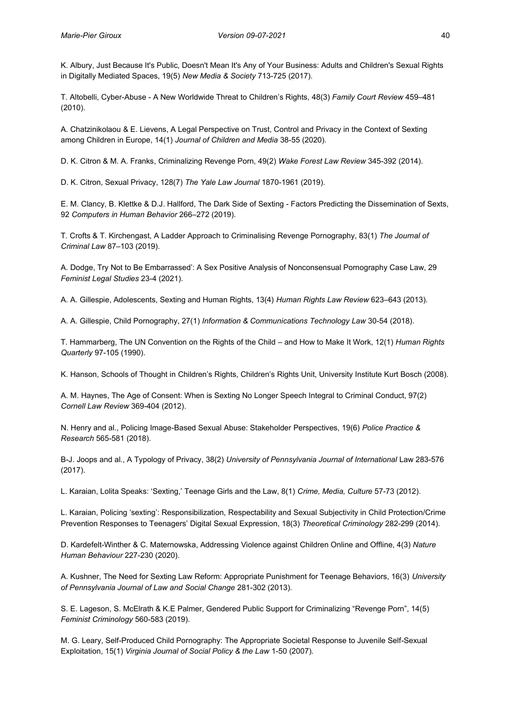K. Albury, Just Because It's Public, Doesn't Mean It's Any of Your Business: Adults and Children's Sexual Rights in Digitally Mediated Spaces, 19(5) *New Media & Society* 713-725 (2017).

T. Altobelli, Cyber-Abuse - A New Worldwide Threat to Children's Rights, 48(3) *Family Court Review* 459–481 (2010).

A. Chatzinikolaou & E. Lievens, A Legal Perspective on Trust, Control and Privacy in the Context of Sexting among Children in Europe, 14(1) *Journal of Children and Media* 38-55 (2020).

D. K. Citron & M. A. Franks, Criminalizing Revenge Porn, 49(2) *Wake Forest Law Review* 345-392 (2014).

D. K. Citron, Sexual Privacy, 128(7) *The Yale Law Journal* 1870-1961 (2019).

E. M. Clancy, B. Klettke & D.J. Hallford, The Dark Side of Sexting - Factors Predicting the Dissemination of Sexts, 92 *Computers in Human Behavior* 266–272 (2019).

T. Crofts & T. Kirchengast, A Ladder Approach to Criminalising Revenge Pornography, 83(1) *The Journal of Criminal Law* 87–103 (2019).

A. Dodge, Try Not to Be Embarrassed': A Sex Positive Analysis of Nonconsensual Pornography Case Law, 29 *Feminist Legal Studies* 23-4 (2021).

A. A. Gillespie, Adolescents, Sexting and Human Rights, 13(4) *Human Rights Law Review* 623–643 (2013).

A. A. Gillespie, Child Pornography, 27(1) *Information & Communications Technology Law* 30-54 (2018).

T. Hammarberg, The UN Convention on the Rights of the Child – and How to Make It Work, 12(1) *Human Rights Quarterly* 97-105 (1990).

K. Hanson, Schools of Thought in Children's Rights, Children's Rights Unit, University Institute Kurt Bosch (2008).

A. M. Haynes, The Age of Consent: When is Sexting No Longer Speech Integral to Criminal Conduct, 97(2) *Cornell Law Review* 369-404 (2012).

N. Henry and al., Policing Image-Based Sexual Abuse: Stakeholder Perspectives, 19(6) *Police Practice & Research* 565-581 (2018).

B-J. Joops and al., A Typology of Privacy, 38(2) *University of Pennsylvania Journal of International* Law 283-576 (2017).

L. Karaian, Lolita Speaks: 'Sexting,' Teenage Girls and the Law, 8(1) *Crime, Media, Culture* 57-73 (2012).

L. Karaian, Policing 'sexting': Responsibilization, Respectability and Sexual Subjectivity in Child Protection/Crime Prevention Responses to Teenagers' Digital Sexual Expression, 18(3) *Theoretical Criminology* 282-299 (2014).

D. Kardefelt-Winther & C. Maternowska, Addressing Violence against Children Online and Offline, 4(3) *Nature Human Behaviour* 227-230 (2020).

A. Kushner, The Need for Sexting Law Reform: Appropriate Punishment for Teenage Behaviors, 16(3) *University of Pennsylvania Journal of Law and Social Change* 281-302 (2013).

S. E. Lageson, S. McElrath & K.E Palmer, Gendered Public Support for Criminalizing "Revenge Porn", 14(5) *Feminist Criminology* 560-583 (2019).

M. G. Leary, Self-Produced Child Pornography: The Appropriate Societal Response to Juvenile Self-Sexual Exploitation, 15(1) *Virginia Journal of Social Policy & the Law* 1-50 (2007).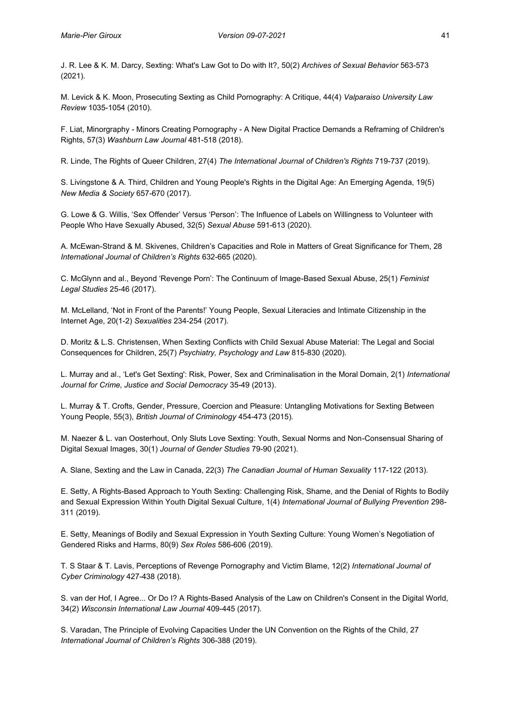J. R. Lee & K. M. Darcy, Sexting: What's Law Got to Do with It?, 50(2) *Archives of Sexual Behavior* 563-573 (2021).

M. Levick & K. Moon, Prosecuting Sexting as Child Pornography: A Critique, 44(4) *Valparaiso University Law Review* 1035-1054 (2010).

F. Liat, Minorgraphy - Minors Creating Pornography - A New Digital Practice Demands a Reframing of Children's Rights, 57(3) *Washburn Law Journal* 481-518 (2018).

R. Linde, The Rights of Queer Children, 27(4) *The International Journal of Children's Rights* 719-737 (2019).

S. Livingstone & A. Third, Children and Young People's Rights in the Digital Age: An Emerging Agenda, 19(5) *New Media & Society* 657-670 (2017).

G. Lowe & G. Willis, 'Sex Offender' Versus 'Person': The Influence of Labels on Willingness to Volunteer with People Who Have Sexually Abused, 32(5) *Sexual Abuse* 591-613 (2020).

A. McEwan-Strand & M. Skivenes, Children's Capacities and Role in Matters of Great Significance for Them, 28 *International Journal of Children's Rights* 632-665 (2020).

C. McGlynn and al., Beyond 'Revenge Porn': The Continuum of Image-Based Sexual Abuse, 25(1) *Feminist Legal Studies* 25-46 (2017).

M. McLelland, 'Not in Front of the Parents!' Young People, Sexual Literacies and Intimate Citizenship in the Internet Age, 20(1-2) *Sexualities* 234-254 (2017).

D. Moritz & L.S. Christensen, When Sexting Conflicts with Child Sexual Abuse Material: The Legal and Social Consequences for Children, 25(7) *Psychiatry, Psychology and Law* 815-830 (2020).

L. Murray and al., 'Let's Get Sexting': Risk, Power, Sex and Criminalisation in the Moral Domain, 2(1) *International Journal for Crime, Justice and Social Democracy* 35-49 (2013).

L. Murray & T. Crofts, Gender, Pressure, Coercion and Pleasure: Untangling Motivations for Sexting Between Young People, 55(3), *British Journal of Criminology* 454-473 (2015).

M. Naezer & L. van Oosterhout, Only Sluts Love Sexting: Youth, Sexual Norms and Non-Consensual Sharing of Digital Sexual Images, 30(1) *Journal of Gender Studies* 79-90 (2021).

A. Slane, Sexting and the Law in Canada, 22(3) *The Canadian Journal of Human Sexuality* 117-122 (2013).

E. Setty, A Rights-Based Approach to Youth Sexting: Challenging Risk, Shame, and the Denial of Rights to Bodily and Sexual Expression Within Youth Digital Sexual Culture, 1(4) *International Journal of Bullying Prevention* 298- 311 (2019).

E. Setty, Meanings of Bodily and Sexual Expression in Youth Sexting Culture: Young Women's Negotiation of Gendered Risks and Harms, 80(9) *Sex Roles* 586-606 (2019).

T. S Staar & T. Lavis, Perceptions of Revenge Pornography and Victim Blame, 12(2) *International Journal of Cyber Criminology* 427-438 (2018).

S. van der Hof, I Agree... Or Do I? A Rights-Based Analysis of the Law on Children's Consent in the Digital World, 34(2) *Wisconsin International Law Journal* 409-445 (2017).

S. Varadan, The Principle of Evolving Capacities Under the UN Convention on the Rights of the Child, 27 *International Journal of Children's Rights* 306-388 (2019).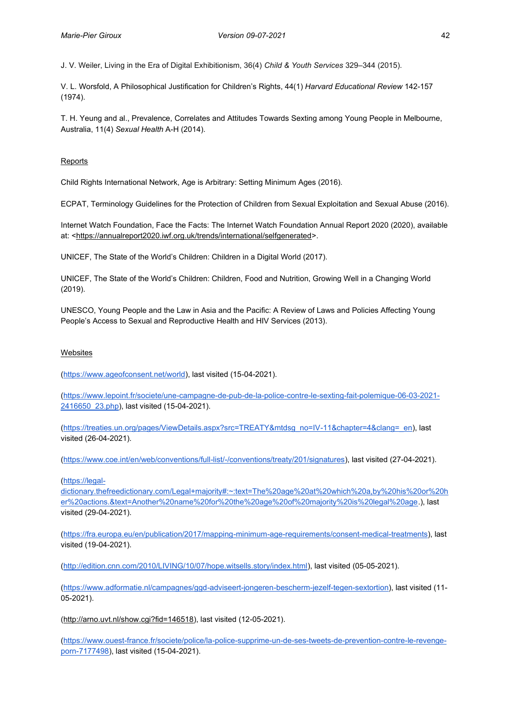J. V. Weiler, Living in the Era of Digital Exhibitionism, 36(4) *Child & Youth Services* 329–344 (2015).

V. L. Worsfold, A Philosophical Justification for Children's Rights, 44(1) *Harvard Educational Review* 142-157 (1974).

T. H. Yeung and al., Prevalence, Correlates and Attitudes Towards Sexting among Young People in Melbourne, Australia, 11(4) *Sexual Health* A-H (2014).

#### Reports

Child Rights International Network, Age is Arbitrary: Setting Minimum Ages (2016).

ECPAT, Terminology Guidelines for the Protection of Children from Sexual Exploitation and Sexual Abuse (2016).

Internet Watch Foundation, Face the Facts: The Internet Watch Foundation Annual Report 2020 (2020), available at: [<https://annualreport2020.iwf.org.uk/trends/international/selfgenerated>](https://annualreport2020.iwf.org.uk/trends/international/selfgenerated).

UNICEF, The State of the World's Children: Children in a Digital World (2017).

UNICEF, The State of the World's Children: Children, Food and Nutrition, Growing Well in a Changing World (2019).

UNESCO, Young People and the Law in Asia and the Pacific: A Review of Laws and Policies Affecting Young People's Access to Sexual and Reproductive Health and HIV Services (2013).

#### Websites

[\(https://www.ageofconsent.net/world\)](https://www.ageofconsent.net/world), last visited (15-04-2021).

[\(https://www.lepoint.fr/societe/une-campagne-de-pub-de-la-police-contre-le-sexting-fait-polemique-06-03-2021-](https://www.lepoint.fr/societe/une-campagne-de-pub-de-la-police-contre-le-sexting-fait-polemique-06-03-2021-2416650_23.php) 2416650 23.php), last visited (15-04-2021).

[\(https://treaties.un.org/pages/ViewDetails.aspx?src=TREATY&mtdsg\\_no=IV-11&chapter=4&clang=\\_en\)](https://treaties.un.org/pages/ViewDetails.aspx?src=TREATY&mtdsg_no=IV-11&chapter=4&clang=_en), last visited (26-04-2021).

[\(https://www.coe.int/en/web/conventions/full-list/-/conventions/treaty/201/signatures\)](https://www.coe.int/en/web/conventions/full-list/-/conventions/treaty/201/signatures), last visited (27-04-2021).

[\(https://legal-](https://legal-dictionary.thefreedictionary.com/Legal+majority#:~:text=The%20age%20at%20which%20a,by%20his%20or%20her%20actions.&text=Another%20name%20for%20the%20age%20of%20majority%20is%20legal%20age)

[dictionary.thefreedictionary.com/Legal+majority#:~:text=The%20age%20at%20which%20a,by%20his%20or%20h](https://legal-dictionary.thefreedictionary.com/Legal+majority#:~:text=The%20age%20at%20which%20a,by%20his%20or%20her%20actions.&text=Another%20name%20for%20the%20age%20of%20majority%20is%20legal%20age) [er%20actions.&text=Another%20name%20for%20the%20age%20of%20majority%20is%20legal%20age.](https://legal-dictionary.thefreedictionary.com/Legal+majority#:~:text=The%20age%20at%20which%20a,by%20his%20or%20her%20actions.&text=Another%20name%20for%20the%20age%20of%20majority%20is%20legal%20age)), last visited (29-04-2021).

[\(https://fra.europa.eu/en/publication/2017/mapping-minimum-age-requirements/consent-medical-treatments\)](https://fra.europa.eu/en/publication/2017/mapping-minimum-age-requirements/consent-medical-treatments), last visited (19-04-2021).

[\(http://edition.cnn.com/2010/LIVING/10/07/hope.witsells.story/index.html\)](http://edition.cnn.com/2010/LIVING/10/07/hope.witsells.story/index.html), last visited (05-05-2021).

[\(https://www.adformatie.nl/campagnes/ggd-adviseert-jongeren-bescherm-jezelf-tegen-sextortion\)](https://www.adformatie.nl/campagnes/ggd-adviseert-jongeren-bescherm-jezelf-tegen-sextortion), last visited (11- 05-2021).

[\(http://arno.uvt.nl/show.cgi?fid=146518\)](http://arno.uvt.nl/show.cgi?fid=146518), last visited (12-05-2021).

[\(https://www.ouest-france.fr/societe/police/la-police-supprime-un-de-ses-tweets-de-prevention-contre-le-revenge](https://www.ouest-france.fr/societe/police/la-police-supprime-un-de-ses-tweets-de-prevention-contre-le-revenge-porn-7177498)[porn-7177498\)](https://www.ouest-france.fr/societe/police/la-police-supprime-un-de-ses-tweets-de-prevention-contre-le-revenge-porn-7177498), last visited (15-04-2021).